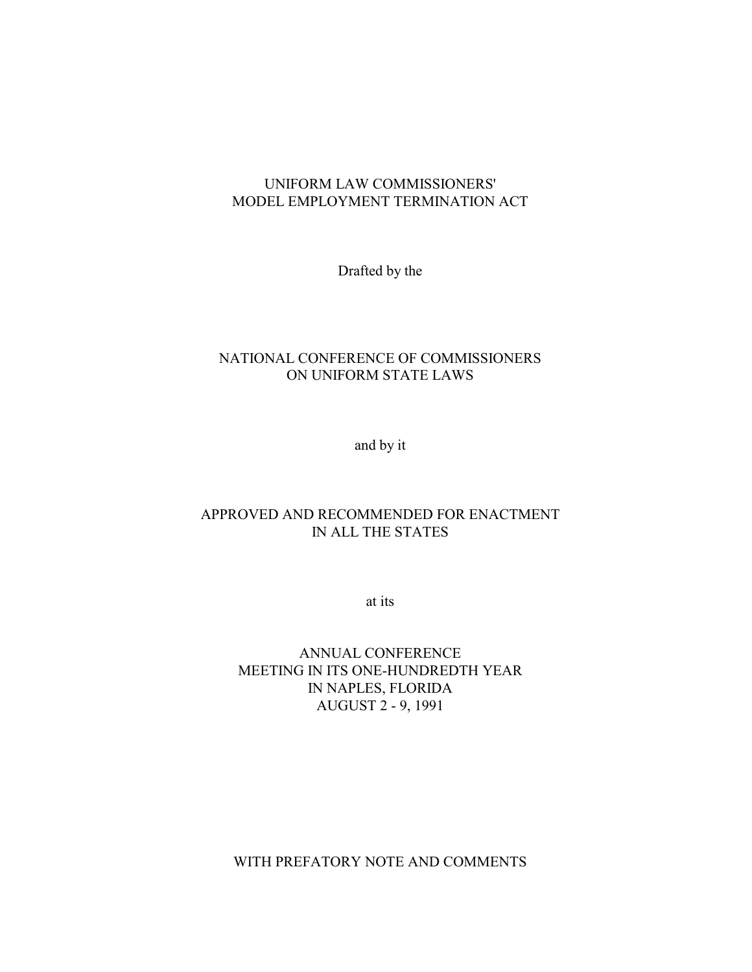# UNIFORM LAW COMMISSIONERS' MODEL EMPLOYMENT TERMINATION ACT

Drafted by the

# NATIONAL CONFERENCE OF COMMISSIONERS ON UNIFORM STATE LAWS

and by it

# APPROVED AND RECOMMENDED FOR ENACTMENT IN ALL THE STATES

at its

ANNUAL CONFERENCE MEETING IN ITS ONE-HUNDREDTH YEAR IN NAPLES, FLORIDA AUGUST 2 - 9, 1991

WITH PREFATORY NOTE AND COMMENTS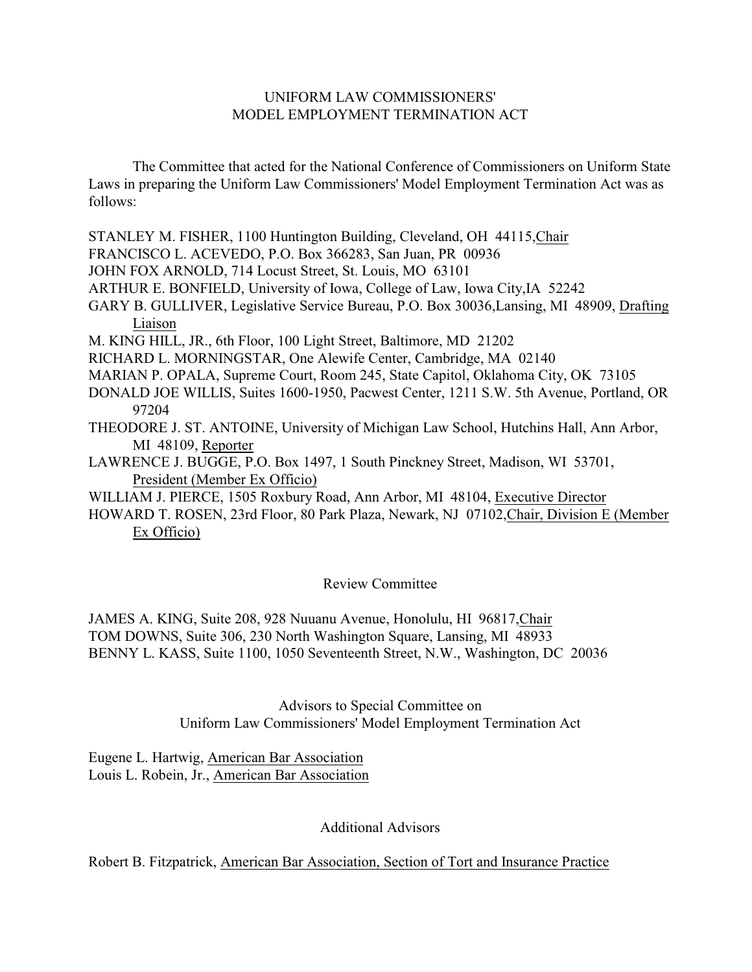# UNIFORM LAW COMMISSIONERS' MODEL EMPLOYMENT TERMINATION ACT

The Committee that acted for the National Conference of Commissioners on Uniform State Laws in preparing the Uniform Law Commissioners' Model Employment Termination Act was as follows:

STANLEY M. FISHER, 1100 Huntington Building, Cleveland, OH 44115,Chair

FRANCISCO L. ACEVEDO, P.O. Box 366283, San Juan, PR 00936

JOHN FOX ARNOLD, 714 Locust Street, St. Louis, MO 63101

ARTHUR E. BONFIELD, University of Iowa, College of Law, Iowa City,IA 52242

GARY B. GULLIVER, Legislative Service Bureau, P.O. Box 30036,Lansing, MI 48909, Drafting Liaison

M. KING HILL, JR., 6th Floor, 100 Light Street, Baltimore, MD 21202

RICHARD L. MORNINGSTAR, One Alewife Center, Cambridge, MA 02140

MARIAN P. OPALA, Supreme Court, Room 245, State Capitol, Oklahoma City, OK 73105

- DONALD JOE WILLIS, Suites 1600-1950, Pacwest Center, 1211 S.W. 5th Avenue, Portland, OR 97204
- THEODORE J. ST. ANTOINE, University of Michigan Law School, Hutchins Hall, Ann Arbor, MI 48109, Reporter
- LAWRENCE J. BUGGE, P.O. Box 1497, 1 South Pinckney Street, Madison, WI 53701, President (Member Ex Officio)

WILLIAM J. PIERCE, 1505 Roxbury Road, Ann Arbor, MI 48104, Executive Director

HOWARD T. ROSEN, 23rd Floor, 80 Park Plaza, Newark, NJ 07102,Chair, Division E (Member Ex Officio)

# Review Committee

JAMES A. KING, Suite 208, 928 Nuuanu Avenue, Honolulu, HI 96817,Chair TOM DOWNS, Suite 306, 230 North Washington Square, Lansing, MI 48933 BENNY L. KASS, Suite 1100, 1050 Seventeenth Street, N.W., Washington, DC 20036

> Advisors to Special Committee on Uniform Law Commissioners' Model Employment Termination Act

Eugene L. Hartwig, American Bar Association Louis L. Robein, Jr., American Bar Association

Additional Advisors

Robert B. Fitzpatrick, American Bar Association, Section of Tort and Insurance Practice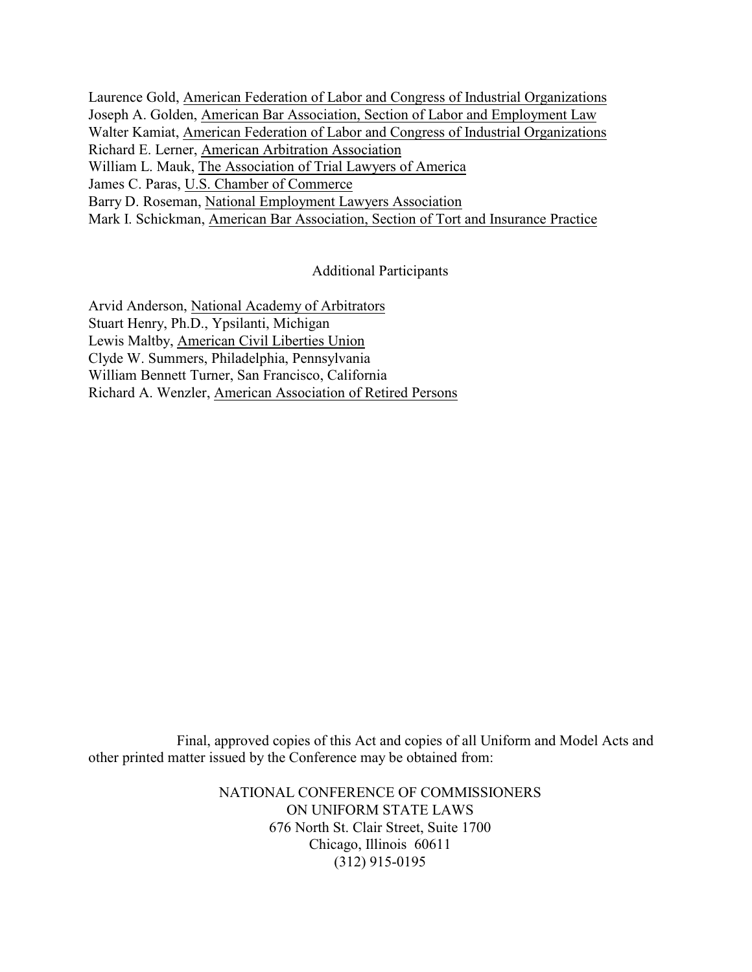Laurence Gold, American Federation of Labor and Congress of Industrial Organizations Joseph A. Golden, American Bar Association, Section of Labor and Employment Law Walter Kamiat, American Federation of Labor and Congress of Industrial Organizations Richard E. Lerner, American Arbitration Association William L. Mauk, The Association of Trial Lawyers of America James C. Paras, U.S. Chamber of Commerce Barry D. Roseman, National Employment Lawyers Association Mark I. Schickman, American Bar Association, Section of Tort and Insurance Practice

# Additional Participants

Arvid Anderson, National Academy of Arbitrators Stuart Henry, Ph.D., Ypsilanti, Michigan Lewis Maltby, American Civil Liberties Union Clyde W. Summers, Philadelphia, Pennsylvania William Bennett Turner, San Francisco, California Richard A. Wenzler, American Association of Retired Persons

Final, approved copies of this Act and copies of all Uniform and Model Acts and other printed matter issued by the Conference may be obtained from:

> NATIONAL CONFERENCE OF COMMISSIONERS ON UNIFORM STATE LAWS 676 North St. Clair Street, Suite 1700 Chicago, Illinois 60611 (312) 915-0195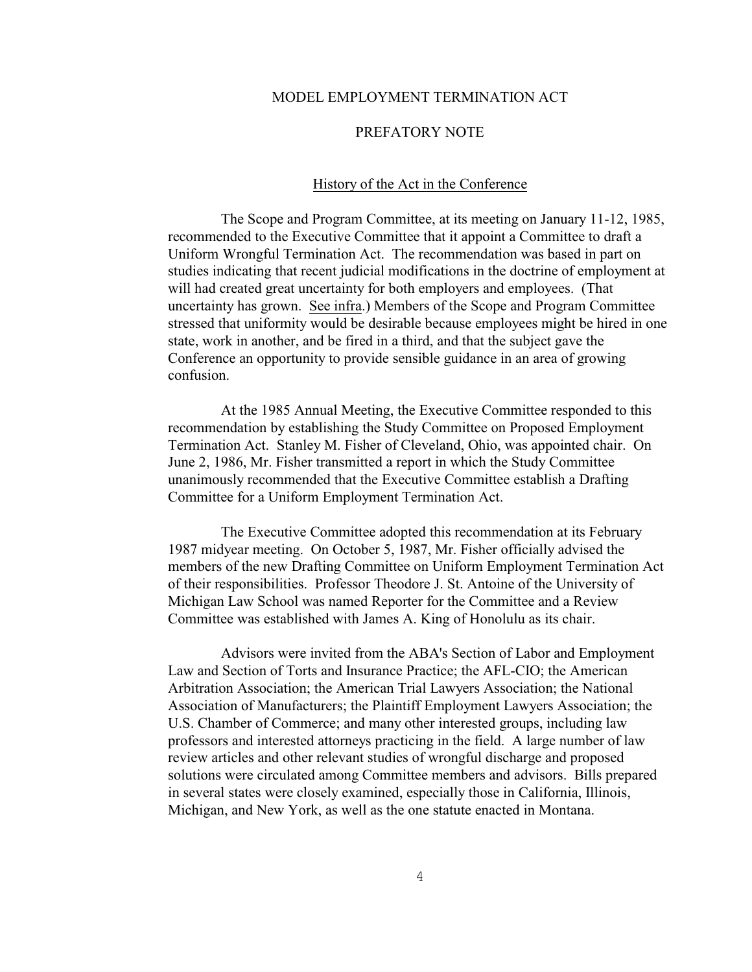#### MODEL EMPLOYMENT TERMINATION ACT

#### PREFATORY NOTE

#### History of the Act in the Conference

The Scope and Program Committee, at its meeting on January 11-12, 1985, recommended to the Executive Committee that it appoint a Committee to draft a Uniform Wrongful Termination Act. The recommendation was based in part on studies indicating that recent judicial modifications in the doctrine of employment at will had created great uncertainty for both employers and employees. (That uncertainty has grown. See infra.) Members of the Scope and Program Committee stressed that uniformity would be desirable because employees might be hired in one state, work in another, and be fired in a third, and that the subject gave the Conference an opportunity to provide sensible guidance in an area of growing confusion.

At the 1985 Annual Meeting, the Executive Committee responded to this recommendation by establishing the Study Committee on Proposed Employment Termination Act. Stanley M. Fisher of Cleveland, Ohio, was appointed chair. On June 2, 1986, Mr. Fisher transmitted a report in which the Study Committee unanimously recommended that the Executive Committee establish a Drafting Committee for a Uniform Employment Termination Act.

The Executive Committee adopted this recommendation at its February 1987 midyear meeting. On October 5, 1987, Mr. Fisher officially advised the members of the new Drafting Committee on Uniform Employment Termination Act of their responsibilities. Professor Theodore J. St. Antoine of the University of Michigan Law School was named Reporter for the Committee and a Review Committee was established with James A. King of Honolulu as its chair.

Advisors were invited from the ABA's Section of Labor and Employment Law and Section of Torts and Insurance Practice; the AFL-CIO; the American Arbitration Association; the American Trial Lawyers Association; the National Association of Manufacturers; the Plaintiff Employment Lawyers Association; the U.S. Chamber of Commerce; and many other interested groups, including law professors and interested attorneys practicing in the field. A large number of law review articles and other relevant studies of wrongful discharge and proposed solutions were circulated among Committee members and advisors. Bills prepared in several states were closely examined, especially those in California, Illinois, Michigan, and New York, as well as the one statute enacted in Montana.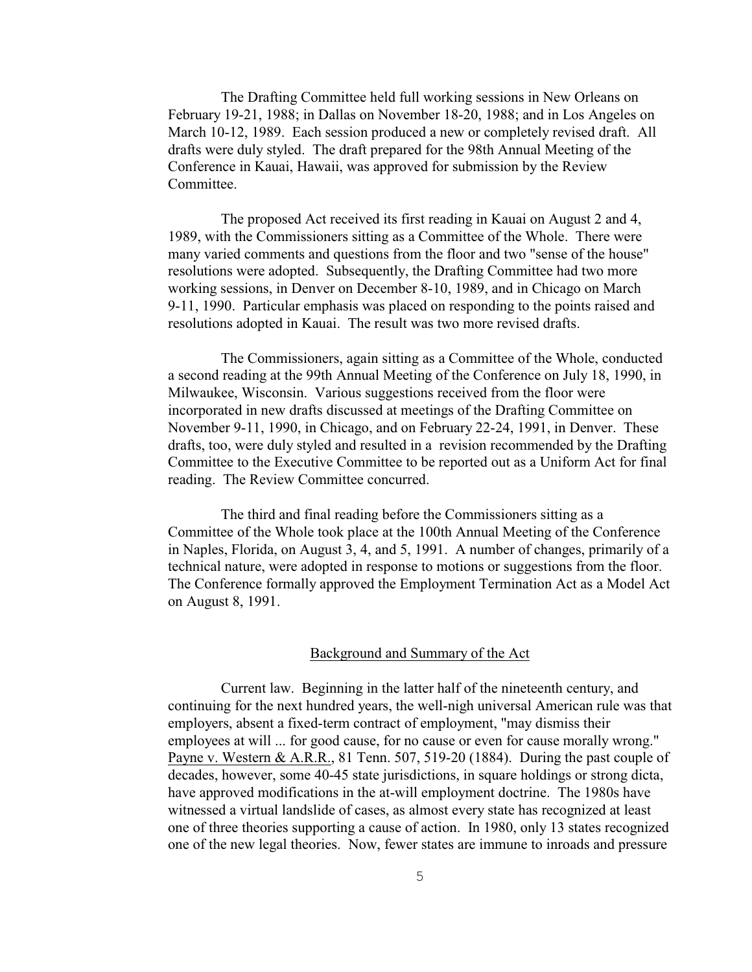The Drafting Committee held full working sessions in New Orleans on February 19-21, 1988; in Dallas on November 18-20, 1988; and in Los Angeles on March 10-12, 1989. Each session produced a new or completely revised draft. All drafts were duly styled. The draft prepared for the 98th Annual Meeting of the Conference in Kauai, Hawaii, was approved for submission by the Review Committee.

The proposed Act received its first reading in Kauai on August 2 and 4, 1989, with the Commissioners sitting as a Committee of the Whole. There were many varied comments and questions from the floor and two "sense of the house" resolutions were adopted. Subsequently, the Drafting Committee had two more working sessions, in Denver on December 8-10, 1989, and in Chicago on March 9-11, 1990. Particular emphasis was placed on responding to the points raised and resolutions adopted in Kauai. The result was two more revised drafts.

The Commissioners, again sitting as a Committee of the Whole, conducted a second reading at the 99th Annual Meeting of the Conference on July 18, 1990, in Milwaukee, Wisconsin. Various suggestions received from the floor were incorporated in new drafts discussed at meetings of the Drafting Committee on November 9-11, 1990, in Chicago, and on February 22-24, 1991, in Denver. These drafts, too, were duly styled and resulted in a revision recommended by the Drafting Committee to the Executive Committee to be reported out as a Uniform Act for final reading. The Review Committee concurred.

The third and final reading before the Commissioners sitting as a Committee of the Whole took place at the 100th Annual Meeting of the Conference in Naples, Florida, on August 3, 4, and 5, 1991. A number of changes, primarily of a technical nature, were adopted in response to motions or suggestions from the floor. The Conference formally approved the Employment Termination Act as a Model Act on August 8, 1991.

#### Background and Summary of the Act

Current law. Beginning in the latter half of the nineteenth century, and continuing for the next hundred years, the well-nigh universal American rule was that employers, absent a fixed-term contract of employment, "may dismiss their employees at will ... for good cause, for no cause or even for cause morally wrong." Payne v. Western & A.R.R., 81 Tenn. 507, 519-20 (1884). During the past couple of decades, however, some 40-45 state jurisdictions, in square holdings or strong dicta, have approved modifications in the at-will employment doctrine. The 1980s have witnessed a virtual landslide of cases, as almost every state has recognized at least one of three theories supporting a cause of action. In 1980, only 13 states recognized one of the new legal theories. Now, fewer states are immune to inroads and pressure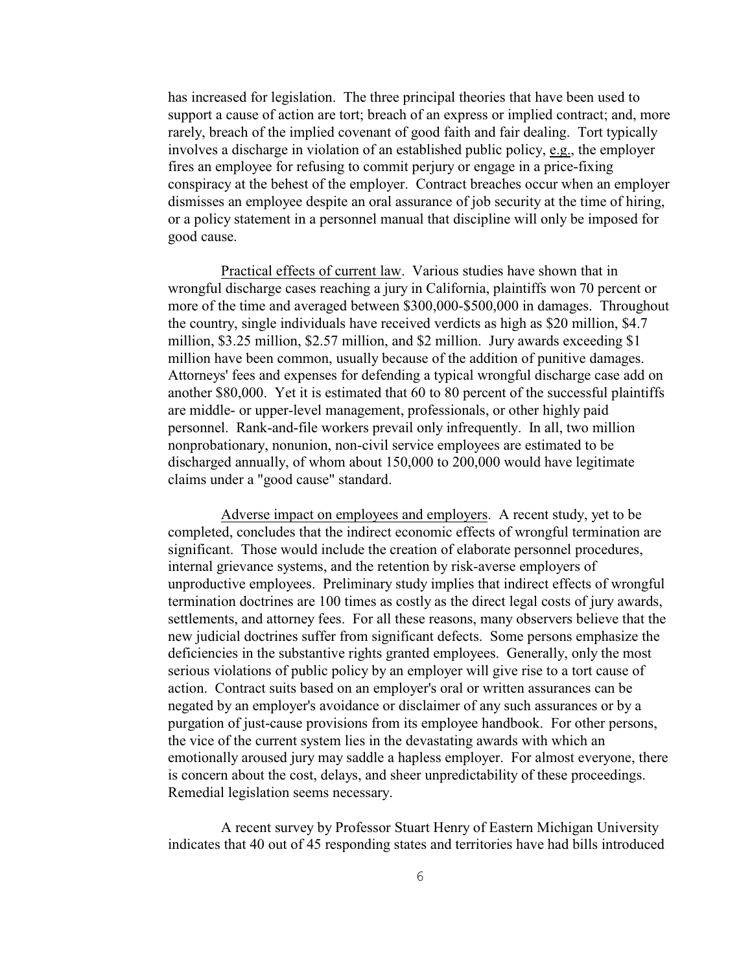has increased for legislation. The three principal theories that have been used to support a cause of action are tort; breach of an express or implied contract; and, more rarely, breach of the implied covenant of good faith and fair dealing. Tort typically involves a discharge in violation of an established public policy, e.g., the employer fires an employee for refusing to commit perjury or engage in a price-fixing conspiracy at the behest of the employer. Contract breaches occur when an employer dismisses an employee despite an oral assurance of job security at the time of hiring, or a policy statement in a personnel manual that discipline will only be imposed for good cause.

Practical effects of current law. Various studies have shown that in wrongful discharge cases reaching a jury in California, plaintiffs won 70 percent or more of the time and averaged between \$300,000-\$500,000 in damages. Throughout the country, single individuals have received verdicts as high as \$20 million, \$4.7 million, \$3.25 million, \$2.57 million, and \$2 million. Jury awards exceeding \$1 million have been common, usually because of the addition of punitive damages. Attorneys' fees and expenses for defending a typical wrongful discharge case add on another \$80,000. Yet it is estimated that 60 to 80 percent of the successful plaintiffs are middle- or upper-level management, professionals, or other highly paid personnel. Rank-and-file workers prevail only infrequently. In all, two million nonprobationary, nonunion, non-civil service employees are estimated to be discharged annually, of whom about 150,000 to 200,000 would have legitimate claims under a "good cause" standard.

Adverse impact on employees and employers. A recent study, yet to be completed, concludes that the indirect economic effects of wrongful termination are significant. Those would include the creation of elaborate personnel procedures, internal grievance systems, and the retention by risk-averse employers of unproductive employees. Preliminary study implies that indirect effects of wrongful termination doctrines are 100 times as costly as the direct legal costs of jury awards, settlements, and attorney fees. For all these reasons, many observers believe that the new judicial doctrines suffer from significant defects. Some persons emphasize the deficiencies in the substantive rights granted employees. Generally, only the most serious violations of public policy by an employer will give rise to a tort cause of action. Contract suits based on an employer's oral or written assurances can be negated by an employer's avoidance or disclaimer of any such assurances or by a purgation of just-cause provisions from its employee handbook. For other persons, the vice of the current system lies in the devastating awards with which an emotionally aroused jury may saddle a hapless employer. For almost everyone, there is concern about the cost, delays, and sheer unpredictability of these proceedings. Remedial legislation seems necessary.

A recent survey by Professor Stuart Henry of Eastern Michigan University indicates that 40 out of 45 responding states and territories have had bills introduced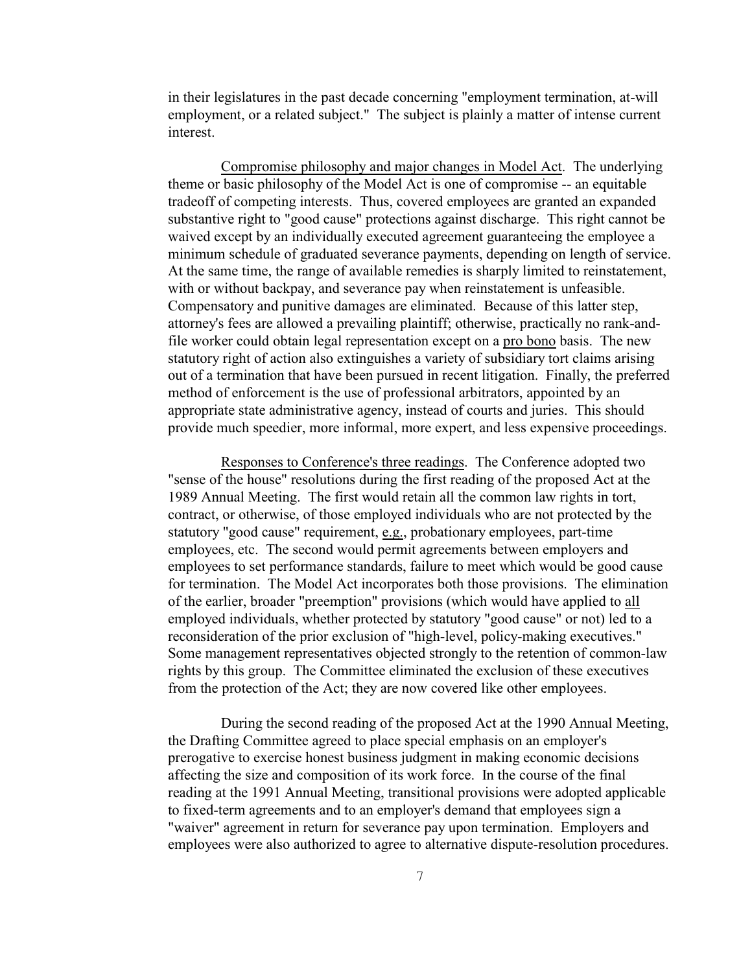in their legislatures in the past decade concerning "employment termination, at-will employment, or a related subject." The subject is plainly a matter of intense current interest.

Compromise philosophy and major changes in Model Act. The underlying theme or basic philosophy of the Model Act is one of compromise -- an equitable tradeoff of competing interests. Thus, covered employees are granted an expanded substantive right to "good cause" protections against discharge. This right cannot be waived except by an individually executed agreement guaranteeing the employee a minimum schedule of graduated severance payments, depending on length of service. At the same time, the range of available remedies is sharply limited to reinstatement, with or without backpay, and severance pay when reinstatement is unfeasible. Compensatory and punitive damages are eliminated. Because of this latter step, attorney's fees are allowed a prevailing plaintiff; otherwise, practically no rank-andfile worker could obtain legal representation except on a pro bono basis. The new statutory right of action also extinguishes a variety of subsidiary tort claims arising out of a termination that have been pursued in recent litigation. Finally, the preferred method of enforcement is the use of professional arbitrators, appointed by an appropriate state administrative agency, instead of courts and juries. This should provide much speedier, more informal, more expert, and less expensive proceedings.

Responses to Conference's three readings. The Conference adopted two "sense of the house" resolutions during the first reading of the proposed Act at the 1989 Annual Meeting. The first would retain all the common law rights in tort, contract, or otherwise, of those employed individuals who are not protected by the statutory "good cause" requirement, e.g., probationary employees, part-time employees, etc. The second would permit agreements between employers and employees to set performance standards, failure to meet which would be good cause for termination. The Model Act incorporates both those provisions. The elimination of the earlier, broader "preemption" provisions (which would have applied to all employed individuals, whether protected by statutory "good cause" or not) led to a reconsideration of the prior exclusion of "high-level, policy-making executives." Some management representatives objected strongly to the retention of common-law rights by this group. The Committee eliminated the exclusion of these executives from the protection of the Act; they are now covered like other employees.

During the second reading of the proposed Act at the 1990 Annual Meeting, the Drafting Committee agreed to place special emphasis on an employer's prerogative to exercise honest business judgment in making economic decisions affecting the size and composition of its work force. In the course of the final reading at the 1991 Annual Meeting, transitional provisions were adopted applicable to fixed-term agreements and to an employer's demand that employees sign a "waiver" agreement in return for severance pay upon termination. Employers and employees were also authorized to agree to alternative dispute-resolution procedures.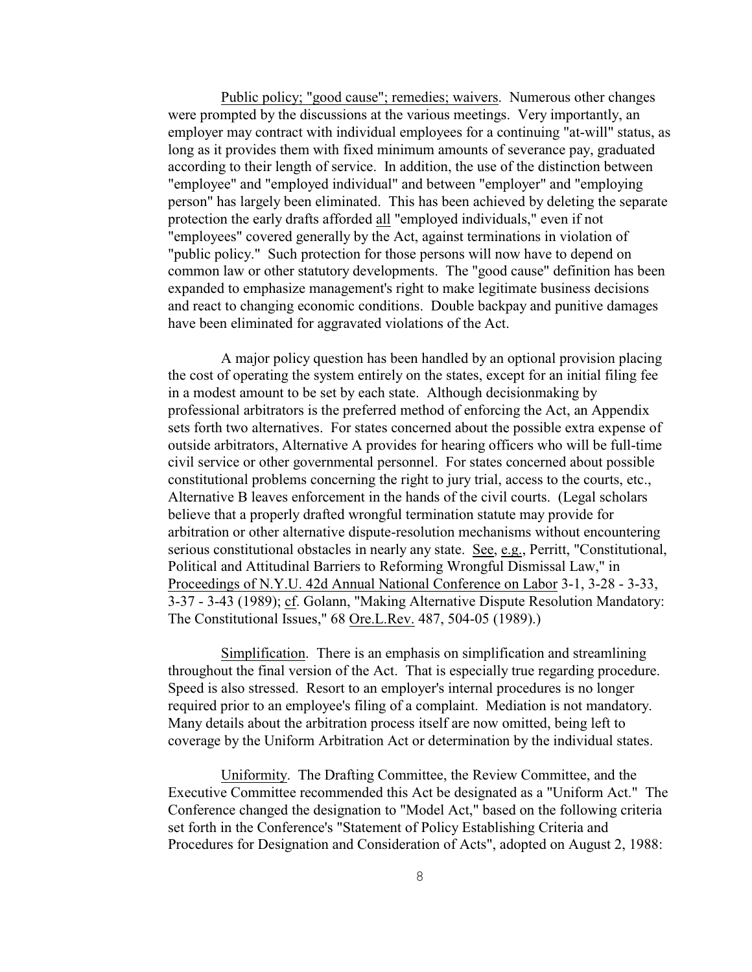Public policy; "good cause"; remedies; waivers. Numerous other changes were prompted by the discussions at the various meetings. Very importantly, an employer may contract with individual employees for a continuing "at-will" status, as long as it provides them with fixed minimum amounts of severance pay, graduated according to their length of service. In addition, the use of the distinction between "employee" and "employed individual" and between "employer" and "employing person" has largely been eliminated. This has been achieved by deleting the separate protection the early drafts afforded all "employed individuals," even if not "employees" covered generally by the Act, against terminations in violation of "public policy." Such protection for those persons will now have to depend on common law or other statutory developments. The "good cause" definition has been expanded to emphasize management's right to make legitimate business decisions and react to changing economic conditions. Double backpay and punitive damages have been eliminated for aggravated violations of the Act.

A major policy question has been handled by an optional provision placing the cost of operating the system entirely on the states, except for an initial filing fee in a modest amount to be set by each state. Although decisionmaking by professional arbitrators is the preferred method of enforcing the Act, an Appendix sets forth two alternatives. For states concerned about the possible extra expense of outside arbitrators, Alternative A provides for hearing officers who will be full-time civil service or other governmental personnel. For states concerned about possible constitutional problems concerning the right to jury trial, access to the courts, etc., Alternative B leaves enforcement in the hands of the civil courts. (Legal scholars believe that a properly drafted wrongful termination statute may provide for arbitration or other alternative dispute-resolution mechanisms without encountering serious constitutional obstacles in nearly any state. See, e.g., Perritt, "Constitutional, Political and Attitudinal Barriers to Reforming Wrongful Dismissal Law," in Proceedings of N.Y.U. 42d Annual National Conference on Labor 3-1, 3-28 - 3-33, 3-37 - 3-43 (1989); cf. Golann, "Making Alternative Dispute Resolution Mandatory: The Constitutional Issues," 68 Ore.L.Rev. 487, 504-05 (1989).)

Simplification. There is an emphasis on simplification and streamlining throughout the final version of the Act. That is especially true regarding procedure. Speed is also stressed. Resort to an employer's internal procedures is no longer required prior to an employee's filing of a complaint. Mediation is not mandatory. Many details about the arbitration process itself are now omitted, being left to coverage by the Uniform Arbitration Act or determination by the individual states.

Uniformity. The Drafting Committee, the Review Committee, and the Executive Committee recommended this Act be designated as a "Uniform Act." The Conference changed the designation to "Model Act," based on the following criteria set forth in the Conference's "Statement of Policy Establishing Criteria and Procedures for Designation and Consideration of Acts", adopted on August 2, 1988: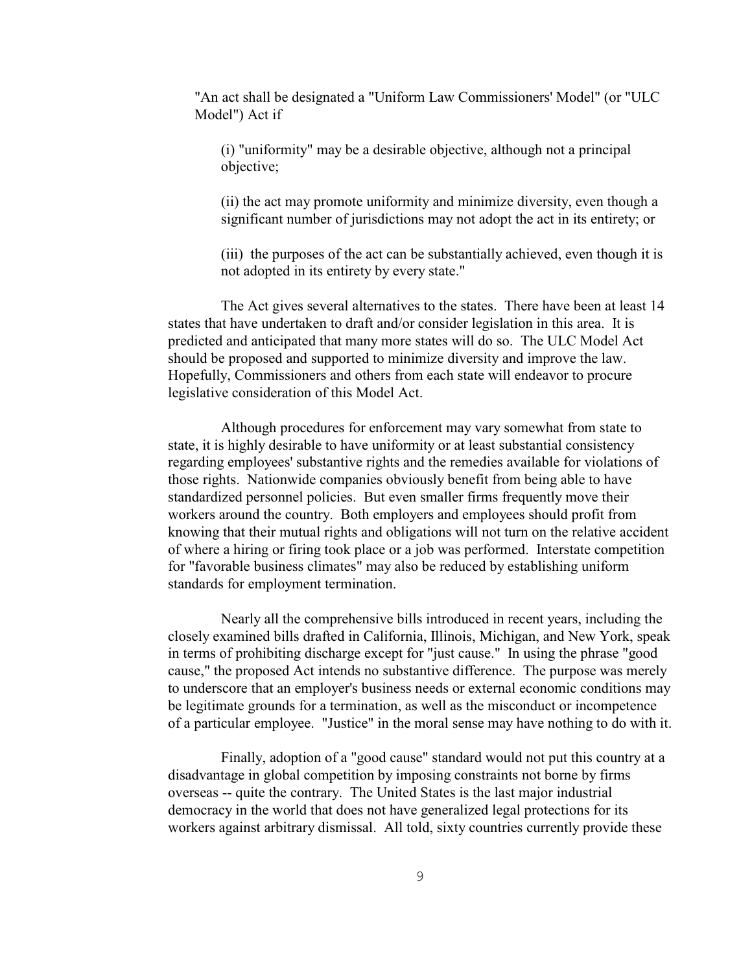"An act shall be designated a "Uniform Law Commissioners' Model" (or "ULC Model") Act if

(i) "uniformity" may be a desirable objective, although not a principal objective;

(ii) the act may promote uniformity and minimize diversity, even though a significant number of jurisdictions may not adopt the act in its entirety; or

(iii) the purposes of the act can be substantially achieved, even though it is not adopted in its entirety by every state."

The Act gives several alternatives to the states. There have been at least 14 states that have undertaken to draft and/or consider legislation in this area. It is predicted and anticipated that many more states will do so. The ULC Model Act should be proposed and supported to minimize diversity and improve the law. Hopefully, Commissioners and others from each state will endeavor to procure legislative consideration of this Model Act.

Although procedures for enforcement may vary somewhat from state to state, it is highly desirable to have uniformity or at least substantial consistency regarding employees' substantive rights and the remedies available for violations of those rights. Nationwide companies obviously benefit from being able to have standardized personnel policies. But even smaller firms frequently move their workers around the country. Both employers and employees should profit from knowing that their mutual rights and obligations will not turn on the relative accident of where a hiring or firing took place or a job was performed. Interstate competition for "favorable business climates" may also be reduced by establishing uniform standards for employment termination.

Nearly all the comprehensive bills introduced in recent years, including the closely examined bills drafted in California, Illinois, Michigan, and New York, speak in terms of prohibiting discharge except for "just cause." In using the phrase "good cause," the proposed Act intends no substantive difference. The purpose was merely to underscore that an employer's business needs or external economic conditions may be legitimate grounds for a termination, as well as the misconduct or incompetence of a particular employee. "Justice" in the moral sense may have nothing to do with it.

Finally, adoption of a "good cause" standard would not put this country at a disadvantage in global competition by imposing constraints not borne by firms overseas -- quite the contrary. The United States is the last major industrial democracy in the world that does not have generalized legal protections for its workers against arbitrary dismissal. All told, sixty countries currently provide these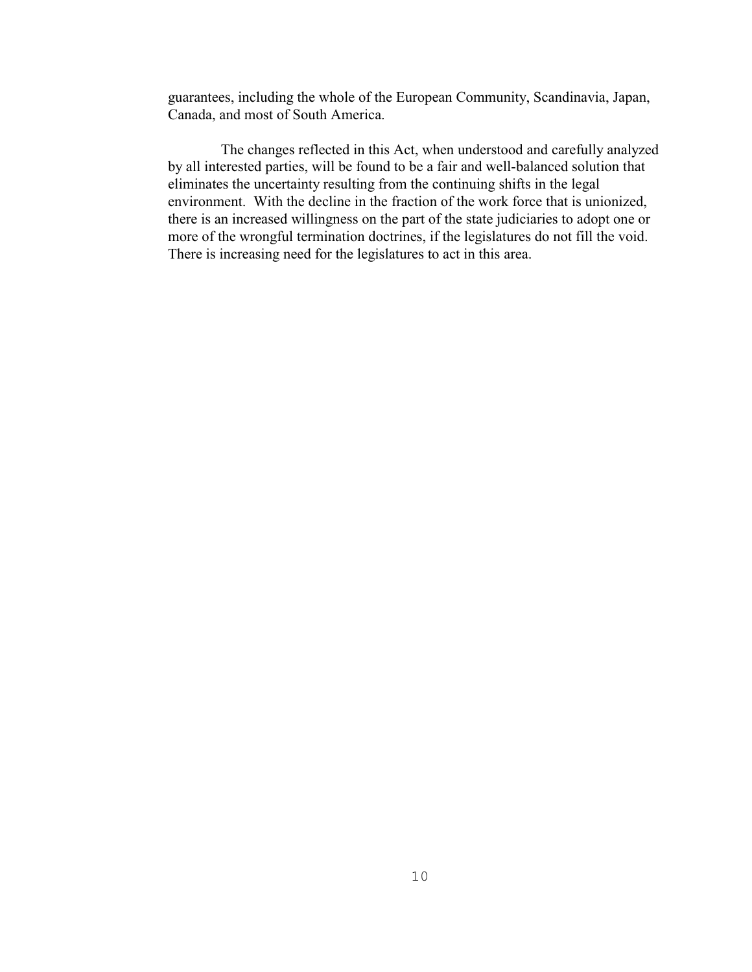guarantees, including the whole of the European Community, Scandinavia, Japan, Canada, and most of South America.

The changes reflected in this Act, when understood and carefully analyzed by all interested parties, will be found to be a fair and well-balanced solution that eliminates the uncertainty resulting from the continuing shifts in the legal environment. With the decline in the fraction of the work force that is unionized, there is an increased willingness on the part of the state judiciaries to adopt one or more of the wrongful termination doctrines, if the legislatures do not fill the void. There is increasing need for the legislatures to act in this area.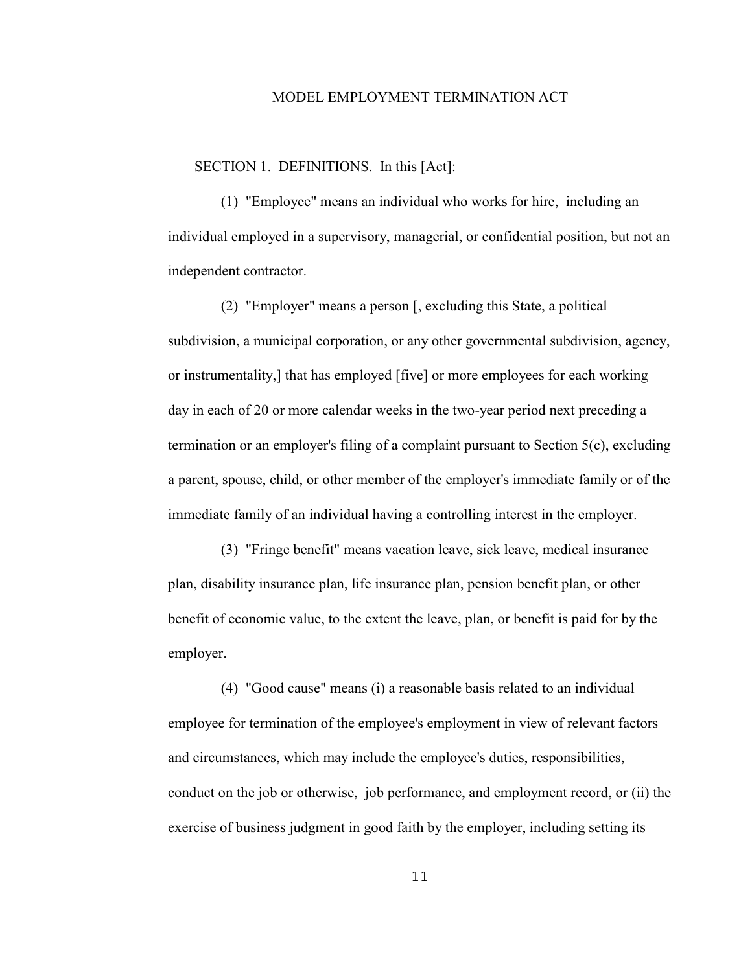#### MODEL EMPLOYMENT TERMINATION ACT

SECTION 1. DEFINITIONS. In this [Act]:

(1) "Employee" means an individual who works for hire, including an individual employed in a supervisory, managerial, or confidential position, but not an independent contractor.

(2) "Employer" means a person [, excluding this State, a political subdivision, a municipal corporation, or any other governmental subdivision, agency, or instrumentality,] that has employed [five] or more employees for each working day in each of 20 or more calendar weeks in the two-year period next preceding a termination or an employer's filing of a complaint pursuant to Section 5(c), excluding a parent, spouse, child, or other member of the employer's immediate family or of the immediate family of an individual having a controlling interest in the employer.

(3) "Fringe benefit" means vacation leave, sick leave, medical insurance plan, disability insurance plan, life insurance plan, pension benefit plan, or other benefit of economic value, to the extent the leave, plan, or benefit is paid for by the employer.

(4) "Good cause" means (i) a reasonable basis related to an individual employee for termination of the employee's employment in view of relevant factors and circumstances, which may include the employee's duties, responsibilities, conduct on the job or otherwise, job performance, and employment record, or (ii) the exercise of business judgment in good faith by the employer, including setting its

11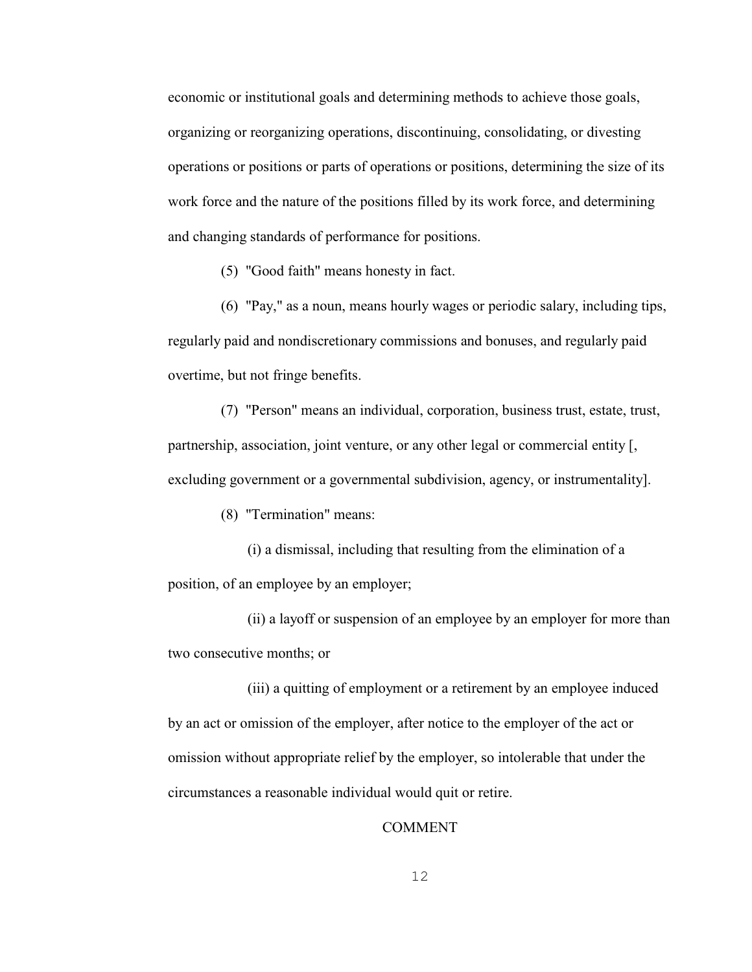economic or institutional goals and determining methods to achieve those goals, organizing or reorganizing operations, discontinuing, consolidating, or divesting operations or positions or parts of operations or positions, determining the size of its work force and the nature of the positions filled by its work force, and determining and changing standards of performance for positions.

(5) "Good faith" means honesty in fact.

(6) "Pay," as a noun, means hourly wages or periodic salary, including tips, regularly paid and nondiscretionary commissions and bonuses, and regularly paid overtime, but not fringe benefits.

(7) "Person" means an individual, corporation, business trust, estate, trust, partnership, association, joint venture, or any other legal or commercial entity [, excluding government or a governmental subdivision, agency, or instrumentality].

(8) "Termination" means:

(i) a dismissal, including that resulting from the elimination of a position, of an employee by an employer;

(ii) a layoff or suspension of an employee by an employer for more than two consecutive months; or

(iii) a quitting of employment or a retirement by an employee induced by an act or omission of the employer, after notice to the employer of the act or omission without appropriate relief by the employer, so intolerable that under the circumstances a reasonable individual would quit or retire.

# COMMENT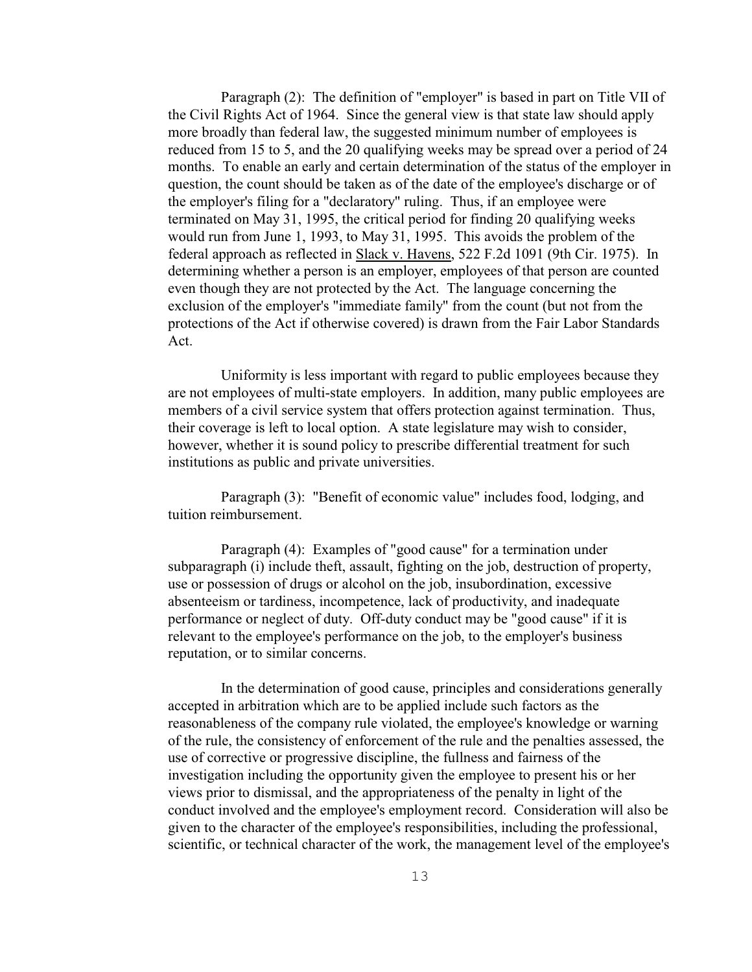Paragraph (2): The definition of "employer" is based in part on Title VII of the Civil Rights Act of 1964. Since the general view is that state law should apply more broadly than federal law, the suggested minimum number of employees is reduced from 15 to 5, and the 20 qualifying weeks may be spread over a period of 24 months. To enable an early and certain determination of the status of the employer in question, the count should be taken as of the date of the employee's discharge or of the employer's filing for a "declaratory" ruling. Thus, if an employee were terminated on May 31, 1995, the critical period for finding 20 qualifying weeks would run from June 1, 1993, to May 31, 1995. This avoids the problem of the federal approach as reflected in Slack v. Havens, 522 F.2d 1091 (9th Cir. 1975). In determining whether a person is an employer, employees of that person are counted even though they are not protected by the Act. The language concerning the exclusion of the employer's "immediate family" from the count (but not from the protections of the Act if otherwise covered) is drawn from the Fair Labor Standards Act.

Uniformity is less important with regard to public employees because they are not employees of multi-state employers. In addition, many public employees are members of a civil service system that offers protection against termination. Thus, their coverage is left to local option. A state legislature may wish to consider, however, whether it is sound policy to prescribe differential treatment for such institutions as public and private universities.

Paragraph (3): "Benefit of economic value" includes food, lodging, and tuition reimbursement.

Paragraph (4): Examples of "good cause" for a termination under subparagraph (i) include theft, assault, fighting on the job, destruction of property, use or possession of drugs or alcohol on the job, insubordination, excessive absenteeism or tardiness, incompetence, lack of productivity, and inadequate performance or neglect of duty. Off-duty conduct may be "good cause" if it is relevant to the employee's performance on the job, to the employer's business reputation, or to similar concerns.

In the determination of good cause, principles and considerations generally accepted in arbitration which are to be applied include such factors as the reasonableness of the company rule violated, the employee's knowledge or warning of the rule, the consistency of enforcement of the rule and the penalties assessed, the use of corrective or progressive discipline, the fullness and fairness of the investigation including the opportunity given the employee to present his or her views prior to dismissal, and the appropriateness of the penalty in light of the conduct involved and the employee's employment record. Consideration will also be given to the character of the employee's responsibilities, including the professional, scientific, or technical character of the work, the management level of the employee's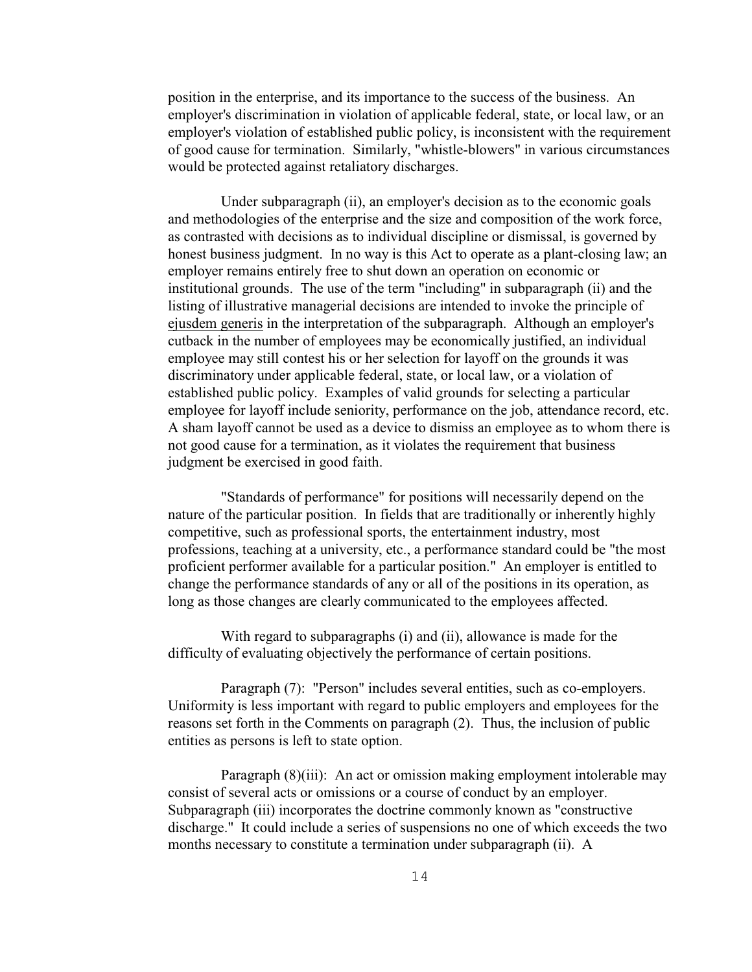position in the enterprise, and its importance to the success of the business. An employer's discrimination in violation of applicable federal, state, or local law, or an employer's violation of established public policy, is inconsistent with the requirement of good cause for termination. Similarly, "whistle-blowers" in various circumstances would be protected against retaliatory discharges.

Under subparagraph (ii), an employer's decision as to the economic goals and methodologies of the enterprise and the size and composition of the work force, as contrasted with decisions as to individual discipline or dismissal, is governed by honest business judgment. In no way is this Act to operate as a plant-closing law; an employer remains entirely free to shut down an operation on economic or institutional grounds. The use of the term "including" in subparagraph (ii) and the listing of illustrative managerial decisions are intended to invoke the principle of ejusdem generis in the interpretation of the subparagraph. Although an employer's cutback in the number of employees may be economically justified, an individual employee may still contest his or her selection for layoff on the grounds it was discriminatory under applicable federal, state, or local law, or a violation of established public policy. Examples of valid grounds for selecting a particular employee for layoff include seniority, performance on the job, attendance record, etc. A sham layoff cannot be used as a device to dismiss an employee as to whom there is not good cause for a termination, as it violates the requirement that business judgment be exercised in good faith.

"Standards of performance" for positions will necessarily depend on the nature of the particular position. In fields that are traditionally or inherently highly competitive, such as professional sports, the entertainment industry, most professions, teaching at a university, etc., a performance standard could be "the most proficient performer available for a particular position." An employer is entitled to change the performance standards of any or all of the positions in its operation, as long as those changes are clearly communicated to the employees affected.

With regard to subparagraphs (i) and (ii), allowance is made for the difficulty of evaluating objectively the performance of certain positions.

Paragraph (7): "Person" includes several entities, such as co-employers. Uniformity is less important with regard to public employers and employees for the reasons set forth in the Comments on paragraph (2). Thus, the inclusion of public entities as persons is left to state option.

Paragraph (8)(iii): An act or omission making employment intolerable may consist of several acts or omissions or a course of conduct by an employer. Subparagraph (iii) incorporates the doctrine commonly known as "constructive discharge." It could include a series of suspensions no one of which exceeds the two months necessary to constitute a termination under subparagraph (ii). A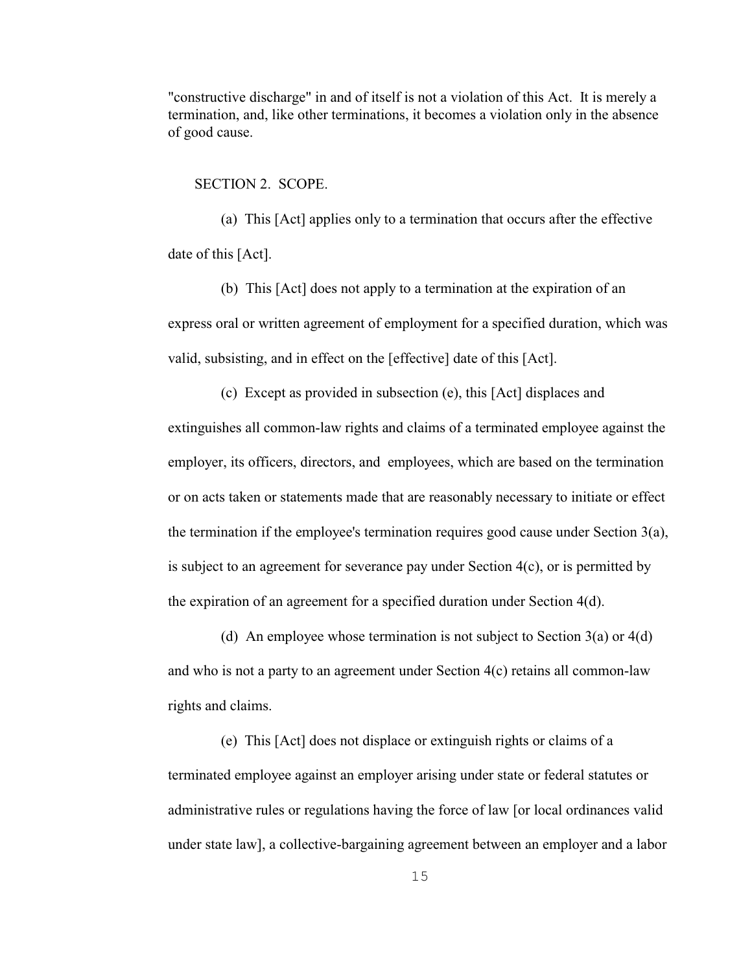"constructive discharge" in and of itself is not a violation of this Act. It is merely a termination, and, like other terminations, it becomes a violation only in the absence of good cause.

SECTION 2. SCOPE.

(a) This [Act] applies only to a termination that occurs after the effective date of this [Act].

(b) This [Act] does not apply to a termination at the expiration of an express oral or written agreement of employment for a specified duration, which was valid, subsisting, and in effect on the [effective] date of this [Act].

(c) Except as provided in subsection (e), this [Act] displaces and extinguishes all common-law rights and claims of a terminated employee against the employer, its officers, directors, and employees, which are based on the termination or on acts taken or statements made that are reasonably necessary to initiate or effect the termination if the employee's termination requires good cause under Section  $3(a)$ , is subject to an agreement for severance pay under Section 4(c), or is permitted by the expiration of an agreement for a specified duration under Section 4(d).

(d) An employee whose termination is not subject to Section 3(a) or 4(d) and who is not a party to an agreement under Section 4(c) retains all common-law rights and claims.

(e) This [Act] does not displace or extinguish rights or claims of a terminated employee against an employer arising under state or federal statutes or administrative rules or regulations having the force of law [or local ordinances valid under state law], a collective-bargaining agreement between an employer and a labor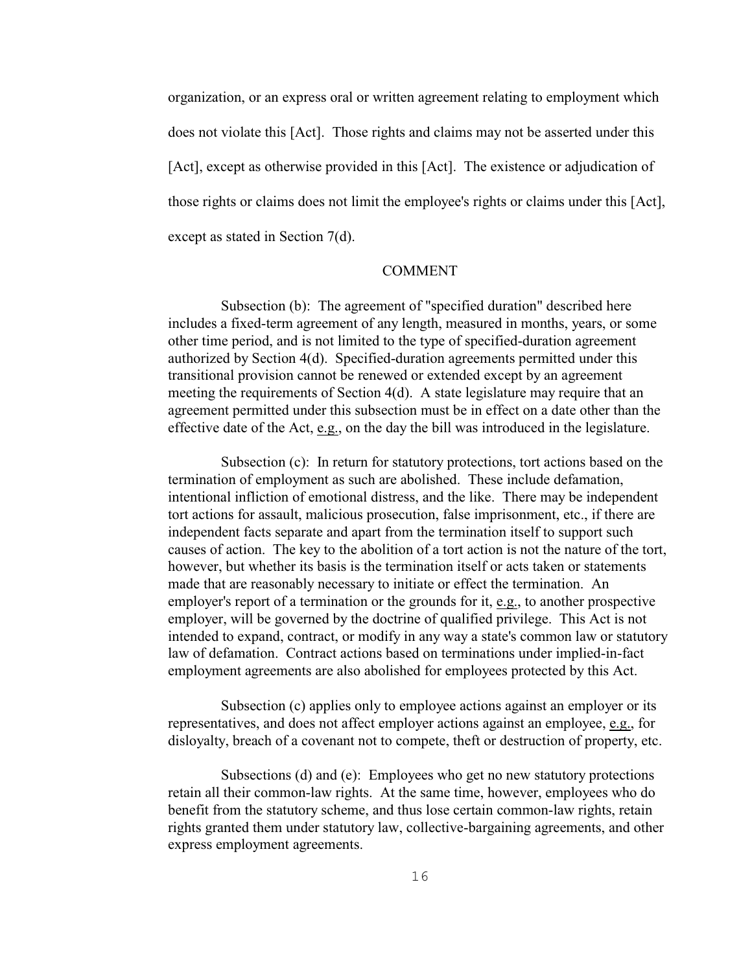organization, or an express oral or written agreement relating to employment which does not violate this [Act]. Those rights and claims may not be asserted under this [Act], except as otherwise provided in this [Act]. The existence or adjudication of those rights or claims does not limit the employee's rights or claims under this [Act], except as stated in Section 7(d).

## COMMENT

Subsection (b): The agreement of "specified duration" described here includes a fixed-term agreement of any length, measured in months, years, or some other time period, and is not limited to the type of specified-duration agreement authorized by Section 4(d). Specified-duration agreements permitted under this transitional provision cannot be renewed or extended except by an agreement meeting the requirements of Section 4(d). A state legislature may require that an agreement permitted under this subsection must be in effect on a date other than the effective date of the Act, e.g., on the day the bill was introduced in the legislature.

Subsection (c): In return for statutory protections, tort actions based on the termination of employment as such are abolished. These include defamation, intentional infliction of emotional distress, and the like. There may be independent tort actions for assault, malicious prosecution, false imprisonment, etc., if there are independent facts separate and apart from the termination itself to support such causes of action. The key to the abolition of a tort action is not the nature of the tort, however, but whether its basis is the termination itself or acts taken or statements made that are reasonably necessary to initiate or effect the termination. An employer's report of a termination or the grounds for it, e.g., to another prospective employer, will be governed by the doctrine of qualified privilege. This Act is not intended to expand, contract, or modify in any way a state's common law or statutory law of defamation. Contract actions based on terminations under implied-in-fact employment agreements are also abolished for employees protected by this Act.

Subsection (c) applies only to employee actions against an employer or its representatives, and does not affect employer actions against an employee, e.g., for disloyalty, breach of a covenant not to compete, theft or destruction of property, etc.

Subsections (d) and (e): Employees who get no new statutory protections retain all their common-law rights. At the same time, however, employees who do benefit from the statutory scheme, and thus lose certain common-law rights, retain rights granted them under statutory law, collective-bargaining agreements, and other express employment agreements.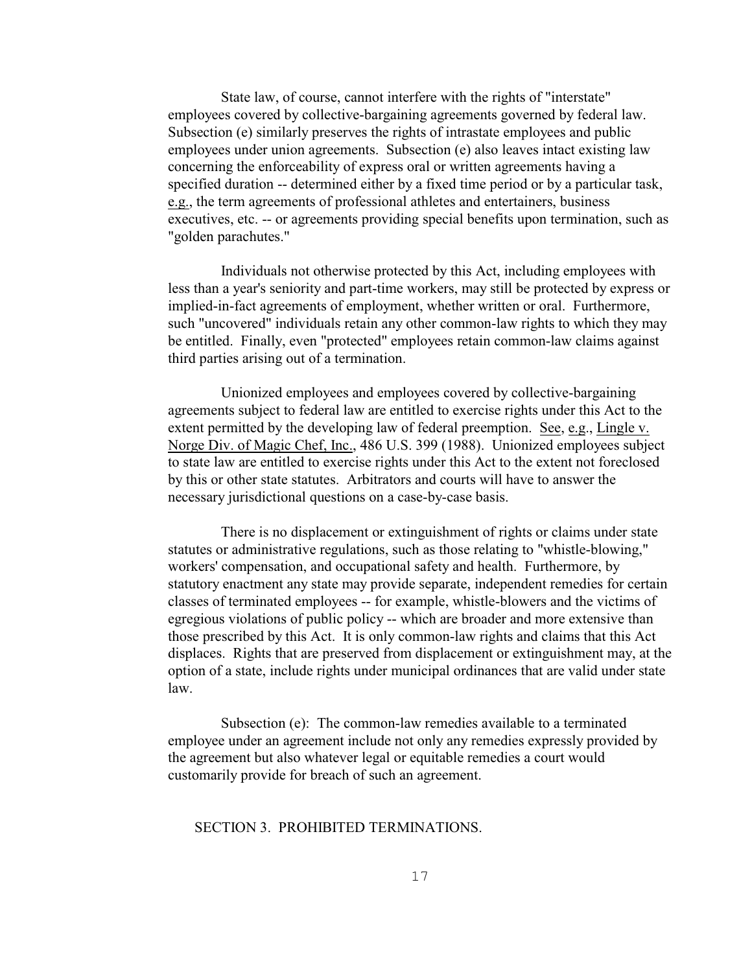State law, of course, cannot interfere with the rights of "interstate" employees covered by collective-bargaining agreements governed by federal law. Subsection (e) similarly preserves the rights of intrastate employees and public employees under union agreements. Subsection (e) also leaves intact existing law concerning the enforceability of express oral or written agreements having a specified duration -- determined either by a fixed time period or by a particular task, e.g., the term agreements of professional athletes and entertainers, business executives, etc. -- or agreements providing special benefits upon termination, such as "golden parachutes."

Individuals not otherwise protected by this Act, including employees with less than a year's seniority and part-time workers, may still be protected by express or implied-in-fact agreements of employment, whether written or oral. Furthermore, such "uncovered" individuals retain any other common-law rights to which they may be entitled. Finally, even "protected" employees retain common-law claims against third parties arising out of a termination.

Unionized employees and employees covered by collective-bargaining agreements subject to federal law are entitled to exercise rights under this Act to the extent permitted by the developing law of federal preemption. See, e.g., Lingle v. Norge Div. of Magic Chef, Inc., 486 U.S. 399 (1988). Unionized employees subject to state law are entitled to exercise rights under this Act to the extent not foreclosed by this or other state statutes. Arbitrators and courts will have to answer the necessary jurisdictional questions on a case-by-case basis.

There is no displacement or extinguishment of rights or claims under state statutes or administrative regulations, such as those relating to "whistle-blowing," workers' compensation, and occupational safety and health. Furthermore, by statutory enactment any state may provide separate, independent remedies for certain classes of terminated employees -- for example, whistle-blowers and the victims of egregious violations of public policy -- which are broader and more extensive than those prescribed by this Act. It is only common-law rights and claims that this Act displaces. Rights that are preserved from displacement or extinguishment may, at the option of a state, include rights under municipal ordinances that are valid under state law.

Subsection (e): The common-law remedies available to a terminated employee under an agreement include not only any remedies expressly provided by the agreement but also whatever legal or equitable remedies a court would customarily provide for breach of such an agreement.

## SECTION 3. PROHIBITED TERMINATIONS.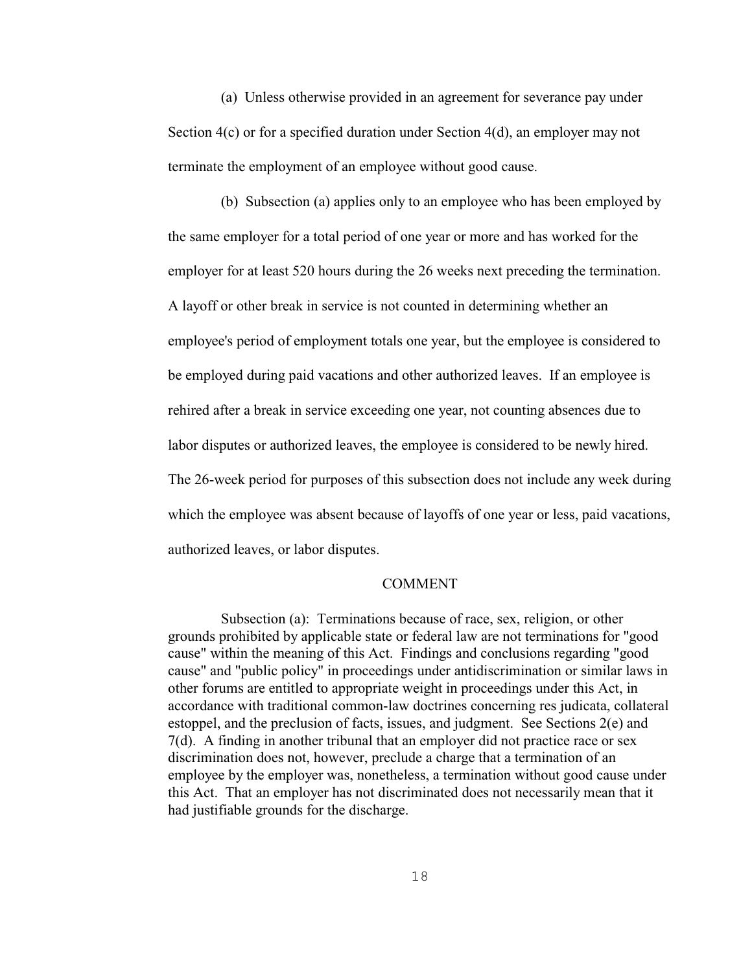(a) Unless otherwise provided in an agreement for severance pay under Section 4(c) or for a specified duration under Section 4(d), an employer may not terminate the employment of an employee without good cause.

(b) Subsection (a) applies only to an employee who has been employed by the same employer for a total period of one year or more and has worked for the employer for at least 520 hours during the 26 weeks next preceding the termination. A layoff or other break in service is not counted in determining whether an employee's period of employment totals one year, but the employee is considered to be employed during paid vacations and other authorized leaves. If an employee is rehired after a break in service exceeding one year, not counting absences due to labor disputes or authorized leaves, the employee is considered to be newly hired. The 26-week period for purposes of this subsection does not include any week during which the employee was absent because of layoffs of one year or less, paid vacations, authorized leaves, or labor disputes.

# COMMENT

Subsection (a): Terminations because of race, sex, religion, or other grounds prohibited by applicable state or federal law are not terminations for "good cause" within the meaning of this Act. Findings and conclusions regarding "good cause" and "public policy" in proceedings under antidiscrimination or similar laws in other forums are entitled to appropriate weight in proceedings under this Act, in accordance with traditional common-law doctrines concerning res judicata, collateral estoppel, and the preclusion of facts, issues, and judgment. See Sections 2(e) and 7(d). A finding in another tribunal that an employer did not practice race or sex discrimination does not, however, preclude a charge that a termination of an employee by the employer was, nonetheless, a termination without good cause under this Act. That an employer has not discriminated does not necessarily mean that it had justifiable grounds for the discharge.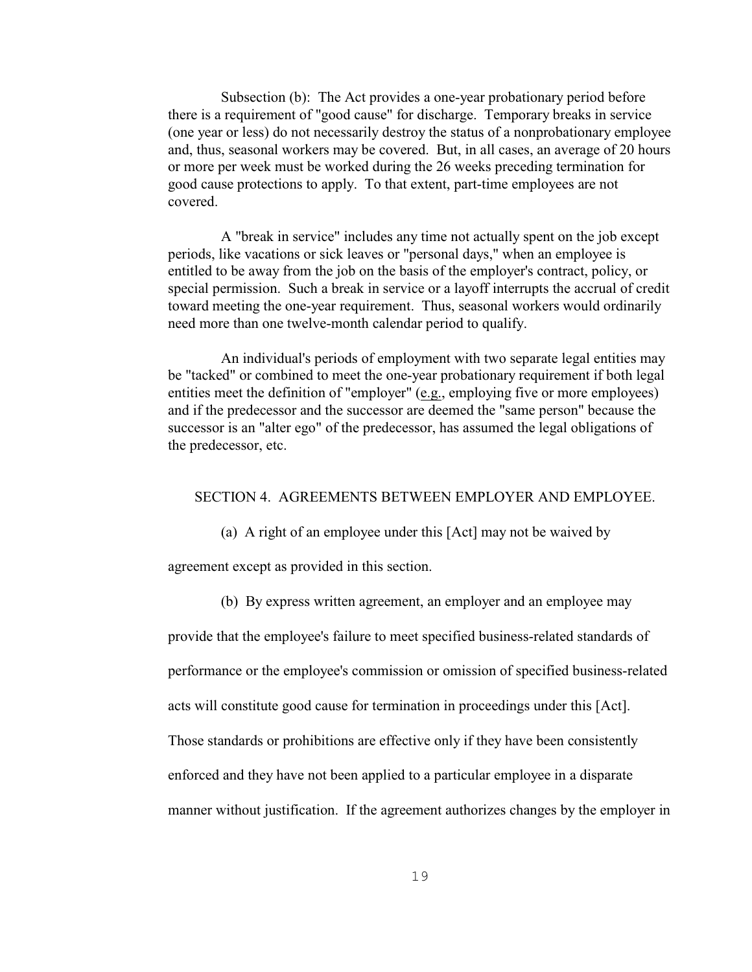Subsection (b): The Act provides a one-year probationary period before there is a requirement of "good cause" for discharge. Temporary breaks in service (one year or less) do not necessarily destroy the status of a nonprobationary employee and, thus, seasonal workers may be covered. But, in all cases, an average of 20 hours or more per week must be worked during the 26 weeks preceding termination for good cause protections to apply. To that extent, part-time employees are not covered.

A "break in service" includes any time not actually spent on the job except periods, like vacations or sick leaves or "personal days," when an employee is entitled to be away from the job on the basis of the employer's contract, policy, or special permission. Such a break in service or a layoff interrupts the accrual of credit toward meeting the one-year requirement. Thus, seasonal workers would ordinarily need more than one twelve-month calendar period to qualify.

An individual's periods of employment with two separate legal entities may be "tacked" or combined to meet the one-year probationary requirement if both legal entities meet the definition of "employer" (e.g., employing five or more employees) and if the predecessor and the successor are deemed the "same person" because the successor is an "alter ego" of the predecessor, has assumed the legal obligations of the predecessor, etc.

#### SECTION 4. AGREEMENTS BETWEEN EMPLOYER AND EMPLOYEE.

(a) A right of an employee under this [Act] may not be waived by

agreement except as provided in this section.

(b) By express written agreement, an employer and an employee may

provide that the employee's failure to meet specified business-related standards of performance or the employee's commission or omission of specified business-related acts will constitute good cause for termination in proceedings under this [Act]. Those standards or prohibitions are effective only if they have been consistently enforced and they have not been applied to a particular employee in a disparate manner without justification. If the agreement authorizes changes by the employer in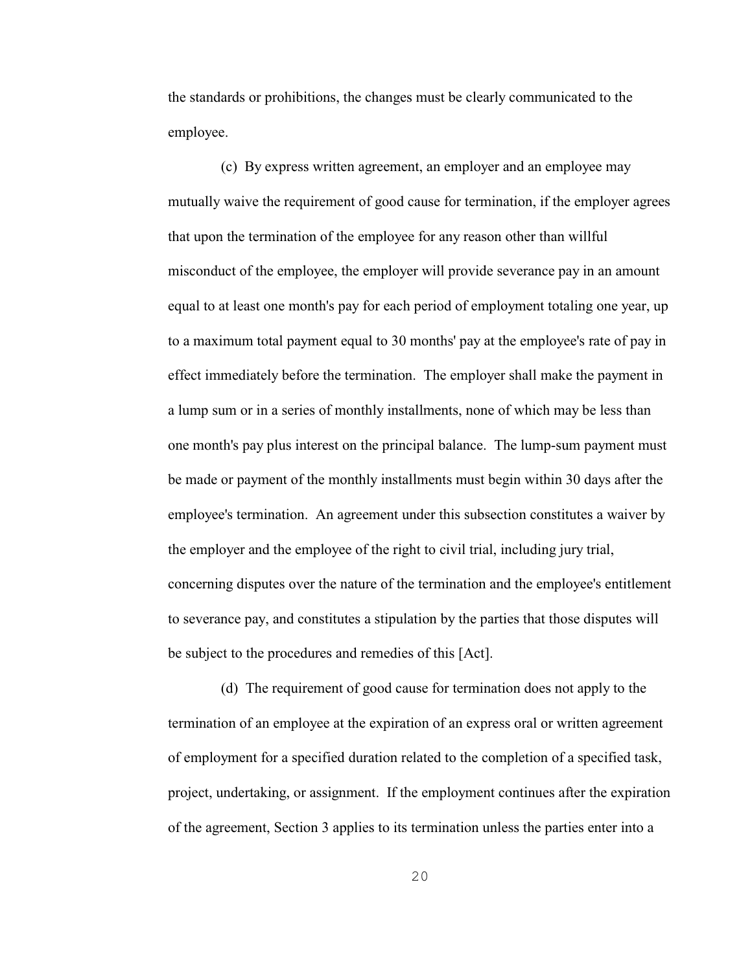the standards or prohibitions, the changes must be clearly communicated to the employee.

(c) By express written agreement, an employer and an employee may mutually waive the requirement of good cause for termination, if the employer agrees that upon the termination of the employee for any reason other than willful misconduct of the employee, the employer will provide severance pay in an amount equal to at least one month's pay for each period of employment totaling one year, up to a maximum total payment equal to 30 months' pay at the employee's rate of pay in effect immediately before the termination. The employer shall make the payment in a lump sum or in a series of monthly installments, none of which may be less than one month's pay plus interest on the principal balance. The lump-sum payment must be made or payment of the monthly installments must begin within 30 days after the employee's termination. An agreement under this subsection constitutes a waiver by the employer and the employee of the right to civil trial, including jury trial, concerning disputes over the nature of the termination and the employee's entitlement to severance pay, and constitutes a stipulation by the parties that those disputes will be subject to the procedures and remedies of this [Act].

(d) The requirement of good cause for termination does not apply to the termination of an employee at the expiration of an express oral or written agreement of employment for a specified duration related to the completion of a specified task, project, undertaking, or assignment. If the employment continues after the expiration of the agreement, Section 3 applies to its termination unless the parties enter into a

20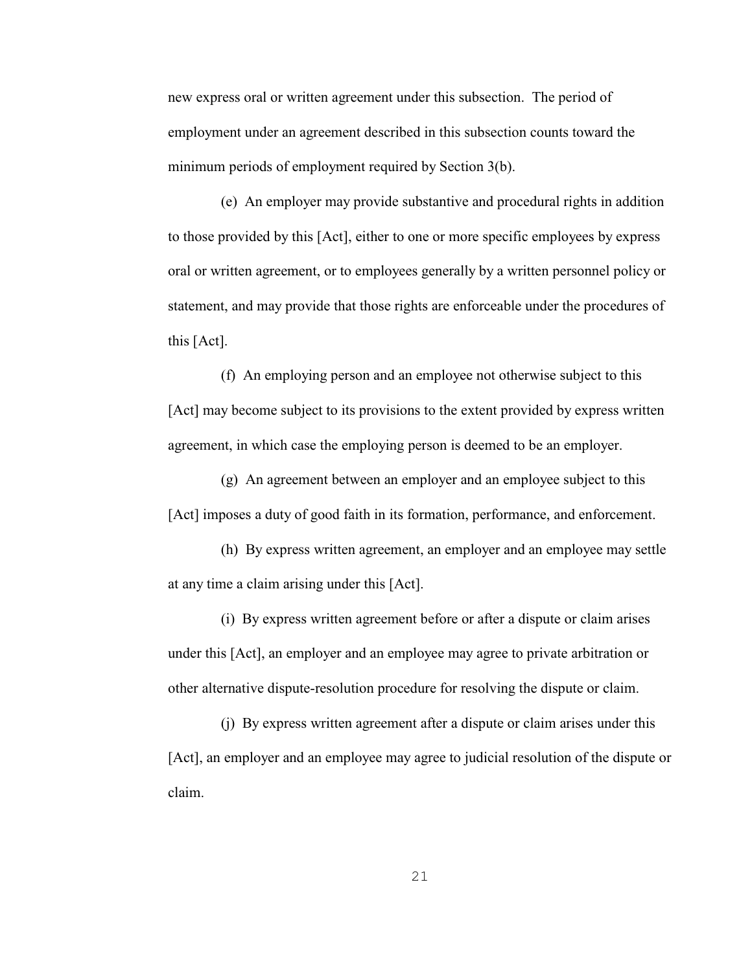new express oral or written agreement under this subsection. The period of employment under an agreement described in this subsection counts toward the minimum periods of employment required by Section 3(b).

(e) An employer may provide substantive and procedural rights in addition to those provided by this [Act], either to one or more specific employees by express oral or written agreement, or to employees generally by a written personnel policy or statement, and may provide that those rights are enforceable under the procedures of this [Act].

(f) An employing person and an employee not otherwise subject to this [Act] may become subject to its provisions to the extent provided by express written agreement, in which case the employing person is deemed to be an employer.

(g) An agreement between an employer and an employee subject to this [Act] imposes a duty of good faith in its formation, performance, and enforcement.

(h) By express written agreement, an employer and an employee may settle at any time a claim arising under this [Act].

(i) By express written agreement before or after a dispute or claim arises under this [Act], an employer and an employee may agree to private arbitration or other alternative dispute-resolution procedure for resolving the dispute or claim.

(j) By express written agreement after a dispute or claim arises under this [Act], an employer and an employee may agree to judicial resolution of the dispute or claim.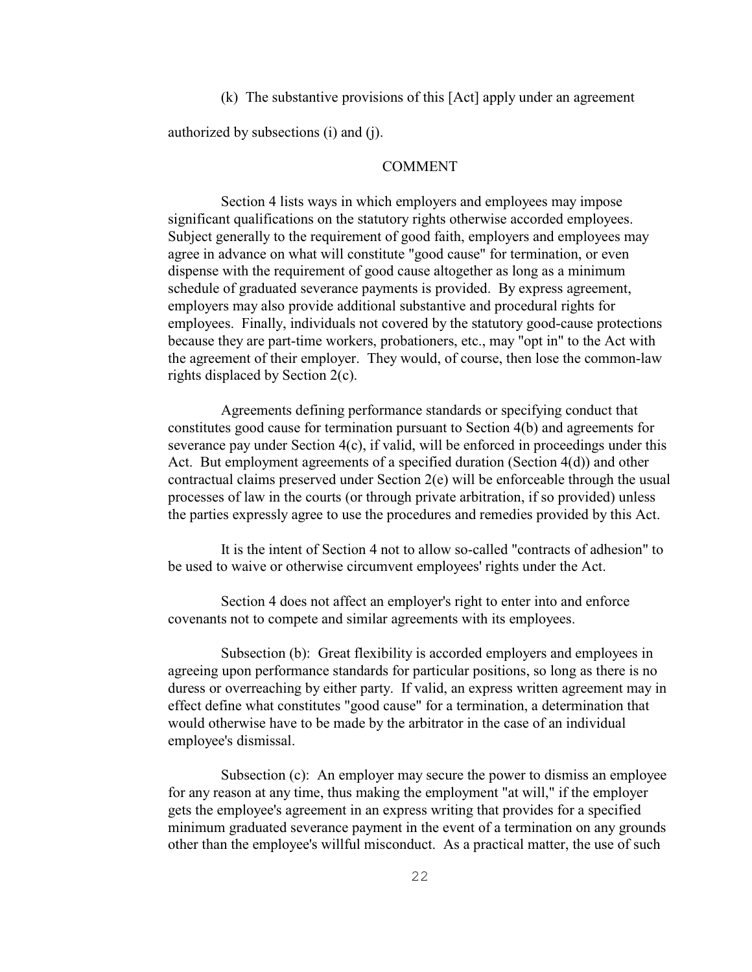(k) The substantive provisions of this [Act] apply under an agreement

authorized by subsections (i) and (j).

#### COMMENT

Section 4 lists ways in which employers and employees may impose significant qualifications on the statutory rights otherwise accorded employees. Subject generally to the requirement of good faith, employers and employees may agree in advance on what will constitute "good cause" for termination, or even dispense with the requirement of good cause altogether as long as a minimum schedule of graduated severance payments is provided. By express agreement, employers may also provide additional substantive and procedural rights for employees. Finally, individuals not covered by the statutory good-cause protections because they are part-time workers, probationers, etc., may "opt in" to the Act with the agreement of their employer. They would, of course, then lose the common-law rights displaced by Section 2(c).

Agreements defining performance standards or specifying conduct that constitutes good cause for termination pursuant to Section 4(b) and agreements for severance pay under Section 4(c), if valid, will be enforced in proceedings under this Act. But employment agreements of a specified duration (Section 4(d)) and other contractual claims preserved under Section 2(e) will be enforceable through the usual processes of law in the courts (or through private arbitration, if so provided) unless the parties expressly agree to use the procedures and remedies provided by this Act.

It is the intent of Section 4 not to allow so-called "contracts of adhesion" to be used to waive or otherwise circumvent employees' rights under the Act.

Section 4 does not affect an employer's right to enter into and enforce covenants not to compete and similar agreements with its employees.

Subsection (b): Great flexibility is accorded employers and employees in agreeing upon performance standards for particular positions, so long as there is no duress or overreaching by either party. If valid, an express written agreement may in effect define what constitutes "good cause" for a termination, a determination that would otherwise have to be made by the arbitrator in the case of an individual employee's dismissal.

Subsection (c): An employer may secure the power to dismiss an employee for any reason at any time, thus making the employment "at will," if the employer gets the employee's agreement in an express writing that provides for a specified minimum graduated severance payment in the event of a termination on any grounds other than the employee's willful misconduct. As a practical matter, the use of such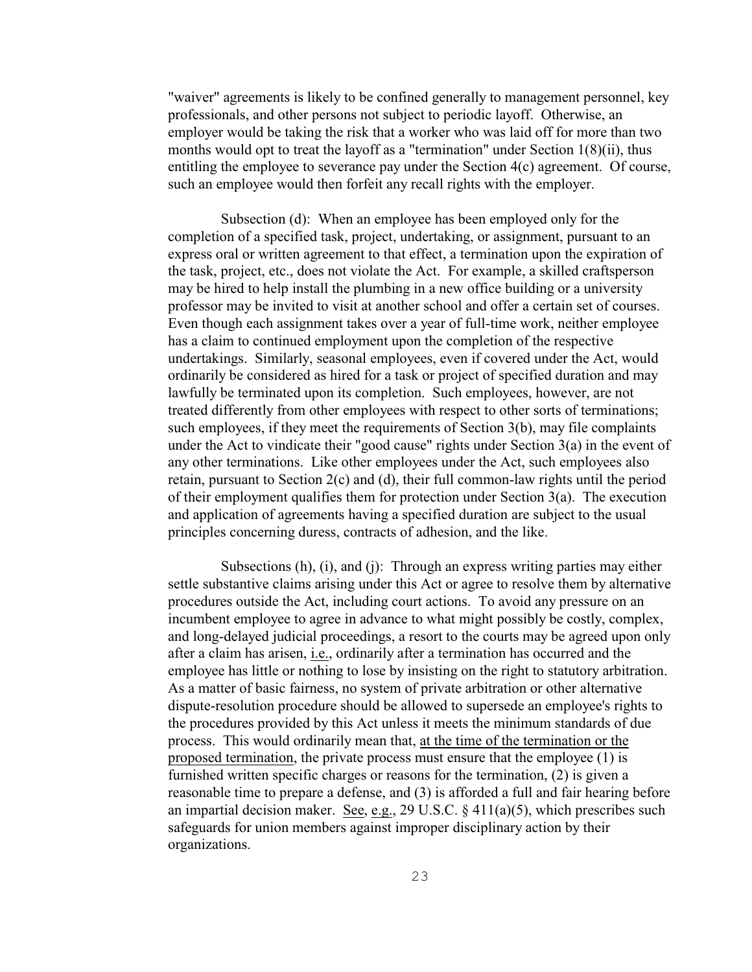"waiver" agreements is likely to be confined generally to management personnel, key professionals, and other persons not subject to periodic layoff. Otherwise, an employer would be taking the risk that a worker who was laid off for more than two months would opt to treat the layoff as a "termination" under Section 1(8)(ii), thus entitling the employee to severance pay under the Section 4(c) agreement. Of course, such an employee would then forfeit any recall rights with the employer.

Subsection (d): When an employee has been employed only for the completion of a specified task, project, undertaking, or assignment, pursuant to an express oral or written agreement to that effect, a termination upon the expiration of the task, project, etc., does not violate the Act. For example, a skilled craftsperson may be hired to help install the plumbing in a new office building or a university professor may be invited to visit at another school and offer a certain set of courses. Even though each assignment takes over a year of full-time work, neither employee has a claim to continued employment upon the completion of the respective undertakings. Similarly, seasonal employees, even if covered under the Act, would ordinarily be considered as hired for a task or project of specified duration and may lawfully be terminated upon its completion. Such employees, however, are not treated differently from other employees with respect to other sorts of terminations; such employees, if they meet the requirements of Section 3(b), may file complaints under the Act to vindicate their "good cause" rights under Section 3(a) in the event of any other terminations. Like other employees under the Act, such employees also retain, pursuant to Section 2(c) and (d), their full common-law rights until the period of their employment qualifies them for protection under Section 3(a). The execution and application of agreements having a specified duration are subject to the usual principles concerning duress, contracts of adhesion, and the like.

Subsections (h), (i), and (j): Through an express writing parties may either settle substantive claims arising under this Act or agree to resolve them by alternative procedures outside the Act, including court actions. To avoid any pressure on an incumbent employee to agree in advance to what might possibly be costly, complex, and long-delayed judicial proceedings, a resort to the courts may be agreed upon only after a claim has arisen, i.e., ordinarily after a termination has occurred and the employee has little or nothing to lose by insisting on the right to statutory arbitration. As a matter of basic fairness, no system of private arbitration or other alternative dispute-resolution procedure should be allowed to supersede an employee's rights to the procedures provided by this Act unless it meets the minimum standards of due process. This would ordinarily mean that, at the time of the termination or the proposed termination, the private process must ensure that the employee (1) is furnished written specific charges or reasons for the termination, (2) is given a reasonable time to prepare a defense, and (3) is afforded a full and fair hearing before an impartial decision maker. See, e.g., 29 U.S.C. § 411(a)(5), which prescribes such safeguards for union members against improper disciplinary action by their organizations.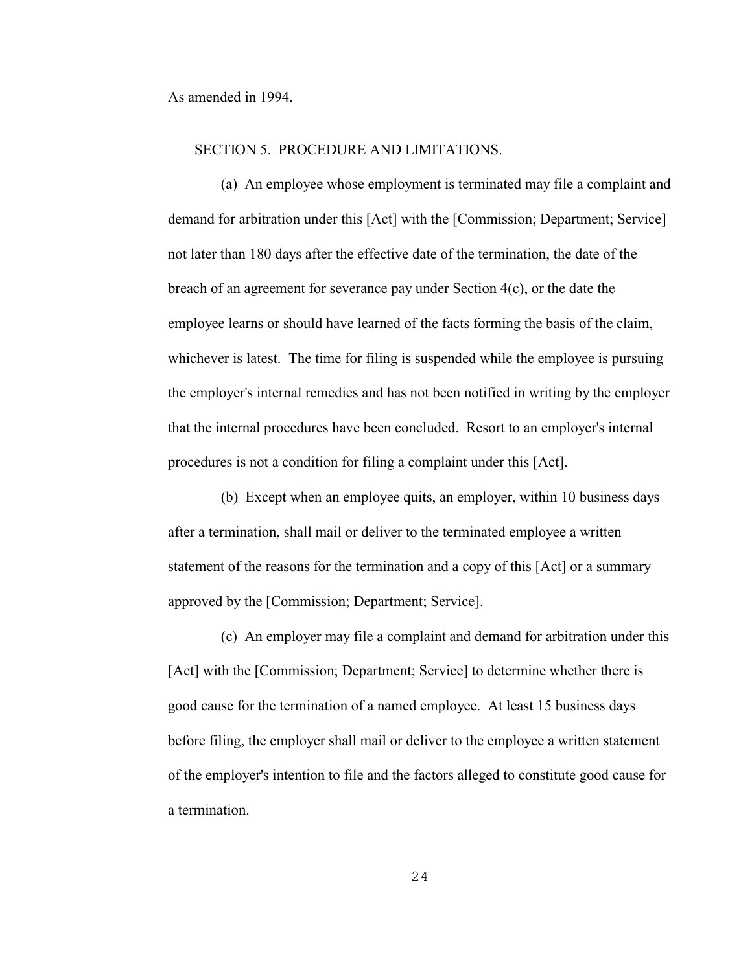As amended in 1994.

#### SECTION 5. PROCEDURE AND LIMITATIONS.

(a) An employee whose employment is terminated may file a complaint and demand for arbitration under this [Act] with the [Commission; Department; Service] not later than 180 days after the effective date of the termination, the date of the breach of an agreement for severance pay under Section 4(c), or the date the employee learns or should have learned of the facts forming the basis of the claim, whichever is latest. The time for filing is suspended while the employee is pursuing the employer's internal remedies and has not been notified in writing by the employer that the internal procedures have been concluded. Resort to an employer's internal procedures is not a condition for filing a complaint under this [Act].

(b) Except when an employee quits, an employer, within 10 business days after a termination, shall mail or deliver to the terminated employee a written statement of the reasons for the termination and a copy of this [Act] or a summary approved by the [Commission; Department; Service].

(c) An employer may file a complaint and demand for arbitration under this [Act] with the [Commission; Department; Service] to determine whether there is good cause for the termination of a named employee. At least 15 business days before filing, the employer shall mail or deliver to the employee a written statement of the employer's intention to file and the factors alleged to constitute good cause for a termination.

24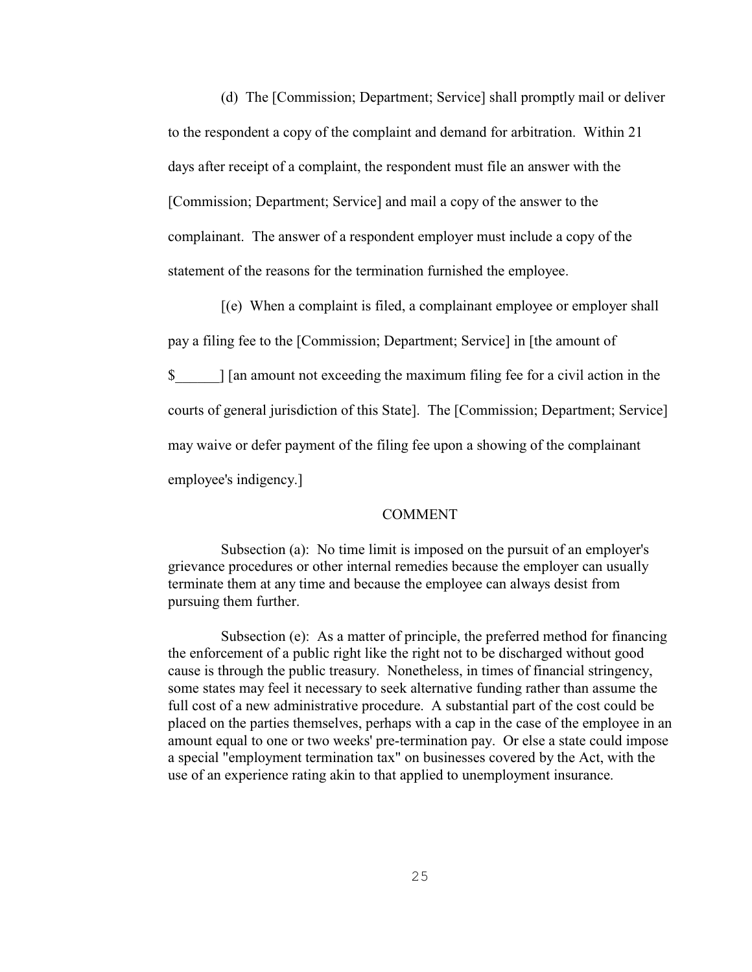(d) The [Commission; Department; Service] shall promptly mail or deliver to the respondent a copy of the complaint and demand for arbitration. Within 21 days after receipt of a complaint, the respondent must file an answer with the [Commission; Department; Service] and mail a copy of the answer to the complainant. The answer of a respondent employer must include a copy of the statement of the reasons for the termination furnished the employee.

[(e) When a complaint is filed, a complainant employee or employer shall pay a filing fee to the [Commission; Department; Service] in [the amount of \$\_\_\_\_\_\_] [an amount not exceeding the maximum filing fee for a civil action in the courts of general jurisdiction of this State]. The [Commission; Department; Service] may waive or defer payment of the filing fee upon a showing of the complainant employee's indigency.]

# COMMENT

Subsection (a): No time limit is imposed on the pursuit of an employer's grievance procedures or other internal remedies because the employer can usually terminate them at any time and because the employee can always desist from pursuing them further.

Subsection (e): As a matter of principle, the preferred method for financing the enforcement of a public right like the right not to be discharged without good cause is through the public treasury. Nonetheless, in times of financial stringency, some states may feel it necessary to seek alternative funding rather than assume the full cost of a new administrative procedure. A substantial part of the cost could be placed on the parties themselves, perhaps with a cap in the case of the employee in an amount equal to one or two weeks' pre-termination pay. Or else a state could impose a special "employment termination tax" on businesses covered by the Act, with the use of an experience rating akin to that applied to unemployment insurance.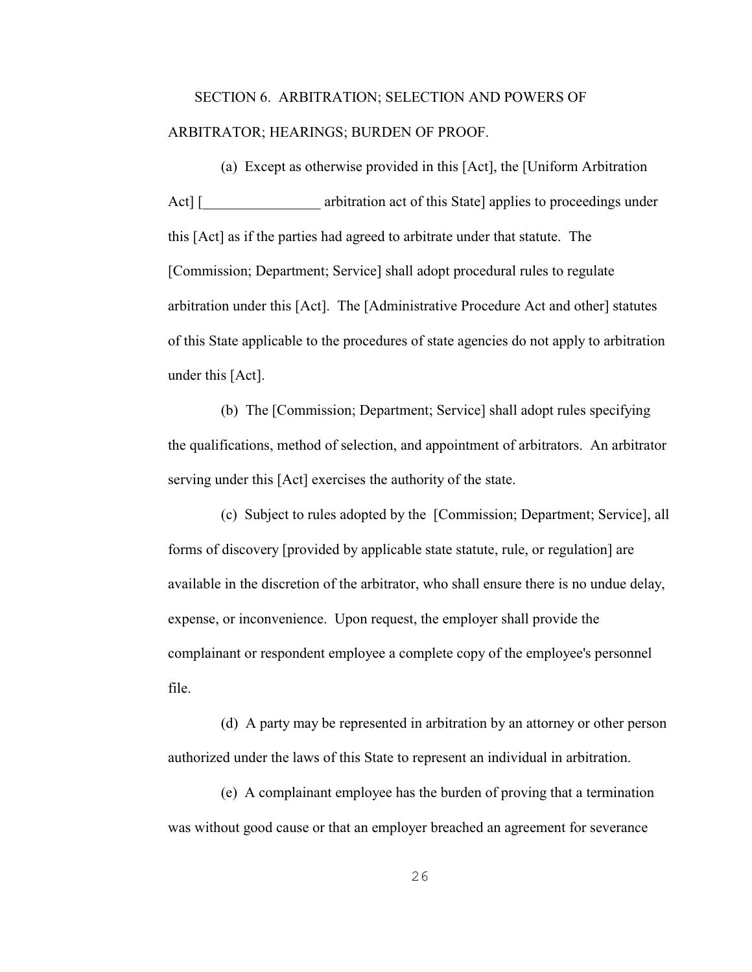# SECTION 6. ARBITRATION; SELECTION AND POWERS OF ARBITRATOR; HEARINGS; BURDEN OF PROOF.

(a) Except as otherwise provided in this [Act], the [Uniform Arbitration Act] [\_\_\_\_\_\_\_\_\_\_\_\_\_\_\_\_ arbitration act of this State] applies to proceedings under this [Act] as if the parties had agreed to arbitrate under that statute. The [Commission; Department; Service] shall adopt procedural rules to regulate arbitration under this [Act]. The [Administrative Procedure Act and other] statutes of this State applicable to the procedures of state agencies do not apply to arbitration under this [Act].

(b) The [Commission; Department; Service] shall adopt rules specifying the qualifications, method of selection, and appointment of arbitrators. An arbitrator serving under this [Act] exercises the authority of the state.

(c) Subject to rules adopted by the [Commission; Department; Service], all forms of discovery [provided by applicable state statute, rule, or regulation] are available in the discretion of the arbitrator, who shall ensure there is no undue delay, expense, or inconvenience. Upon request, the employer shall provide the complainant or respondent employee a complete copy of the employee's personnel file.

(d) A party may be represented in arbitration by an attorney or other person authorized under the laws of this State to represent an individual in arbitration.

(e) A complainant employee has the burden of proving that a termination was without good cause or that an employer breached an agreement for severance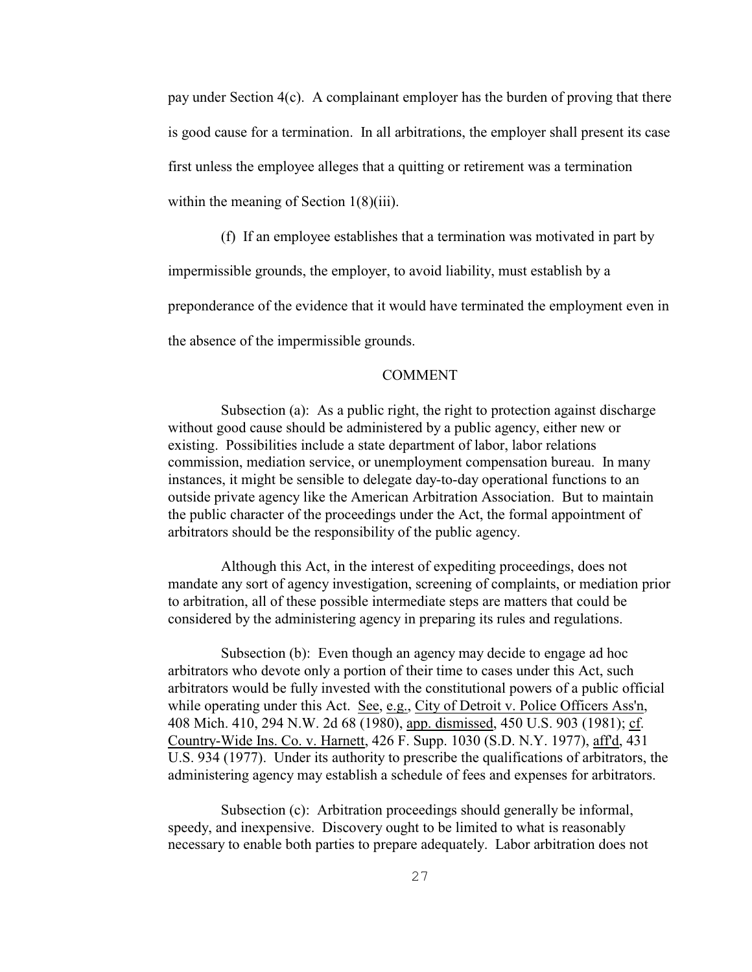pay under Section  $4(c)$ . A complainant employer has the burden of proving that there is good cause for a termination. In all arbitrations, the employer shall present its case first unless the employee alleges that a quitting or retirement was a termination within the meaning of Section 1(8)(iii).

(f) If an employee establishes that a termination was motivated in part by

impermissible grounds, the employer, to avoid liability, must establish by a

preponderance of the evidence that it would have terminated the employment even in

the absence of the impermissible grounds.

#### COMMENT

Subsection (a): As a public right, the right to protection against discharge without good cause should be administered by a public agency, either new or existing. Possibilities include a state department of labor, labor relations commission, mediation service, or unemployment compensation bureau. In many instances, it might be sensible to delegate day-to-day operational functions to an outside private agency like the American Arbitration Association. But to maintain the public character of the proceedings under the Act, the formal appointment of arbitrators should be the responsibility of the public agency.

Although this Act, in the interest of expediting proceedings, does not mandate any sort of agency investigation, screening of complaints, or mediation prior to arbitration, all of these possible intermediate steps are matters that could be considered by the administering agency in preparing its rules and regulations.

Subsection (b): Even though an agency may decide to engage ad hoc arbitrators who devote only a portion of their time to cases under this Act, such arbitrators would be fully invested with the constitutional powers of a public official while operating under this Act. See, e.g., City of Detroit v. Police Officers Ass'n, 408 Mich. 410, 294 N.W. 2d 68 (1980), app. dismissed, 450 U.S. 903 (1981); cf. Country-Wide Ins. Co. v. Harnett, 426 F. Supp. 1030 (S.D. N.Y. 1977), aff'd, 431 U.S. 934 (1977). Under its authority to prescribe the qualifications of arbitrators, the administering agency may establish a schedule of fees and expenses for arbitrators.

Subsection (c): Arbitration proceedings should generally be informal, speedy, and inexpensive. Discovery ought to be limited to what is reasonably necessary to enable both parties to prepare adequately. Labor arbitration does not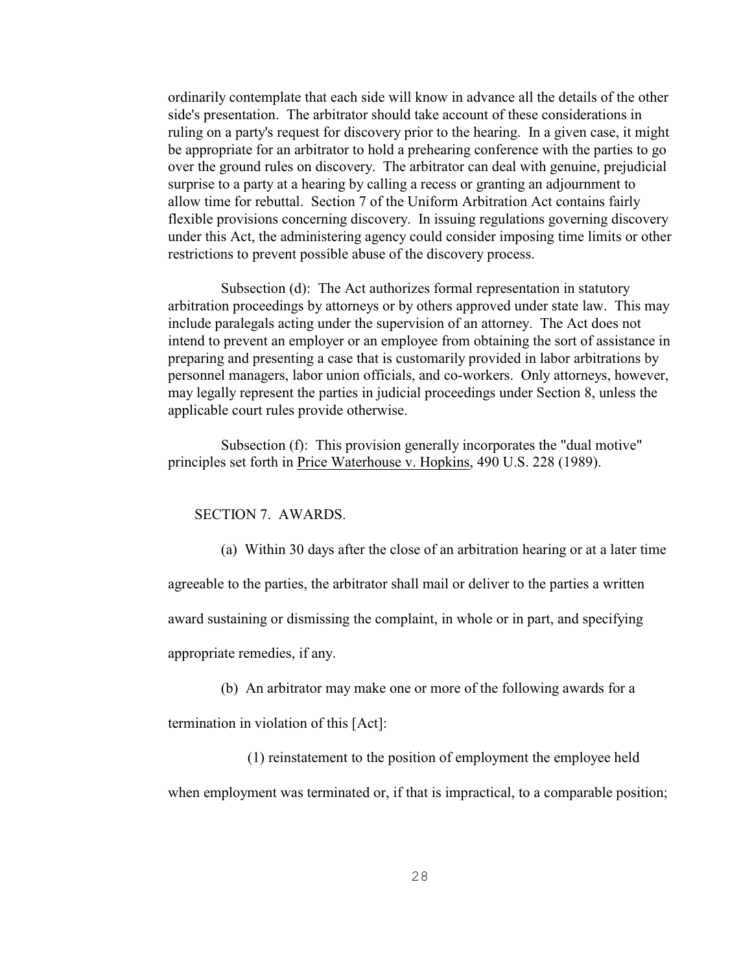ordinarily contemplate that each side will know in advance all the details of the other side's presentation. The arbitrator should take account of these considerations in ruling on a party's request for discovery prior to the hearing. In a given case, it might be appropriate for an arbitrator to hold a prehearing conference with the parties to go over the ground rules on discovery. The arbitrator can deal with genuine, prejudicial surprise to a party at a hearing by calling a recess or granting an adjournment to allow time for rebuttal. Section 7 of the Uniform Arbitration Act contains fairly flexible provisions concerning discovery. In issuing regulations governing discovery under this Act, the administering agency could consider imposing time limits or other restrictions to prevent possible abuse of the discovery process.

Subsection (d): The Act authorizes formal representation in statutory arbitration proceedings by attorneys or by others approved under state law. This may include paralegals acting under the supervision of an attorney. The Act does not intend to prevent an employer or an employee from obtaining the sort of assistance in preparing and presenting a case that is customarily provided in labor arbitrations by personnel managers, labor union officials, and co-workers. Only attorneys, however, may legally represent the parties in judicial proceedings under Section 8, unless the applicable court rules provide otherwise.

Subsection (f): This provision generally incorporates the "dual motive" principles set forth in Price Waterhouse v. Hopkins, 490 U.S. 228 (1989).

# SECTION 7. AWARDS.

(a) Within 30 days after the close of an arbitration hearing or at a later time

agreeable to the parties, the arbitrator shall mail or deliver to the parties a written

award sustaining or dismissing the complaint, in whole or in part, and specifying

appropriate remedies, if any.

(b) An arbitrator may make one or more of the following awards for a

termination in violation of this [Act]:

(1) reinstatement to the position of employment the employee held

when employment was terminated or, if that is impractical, to a comparable position;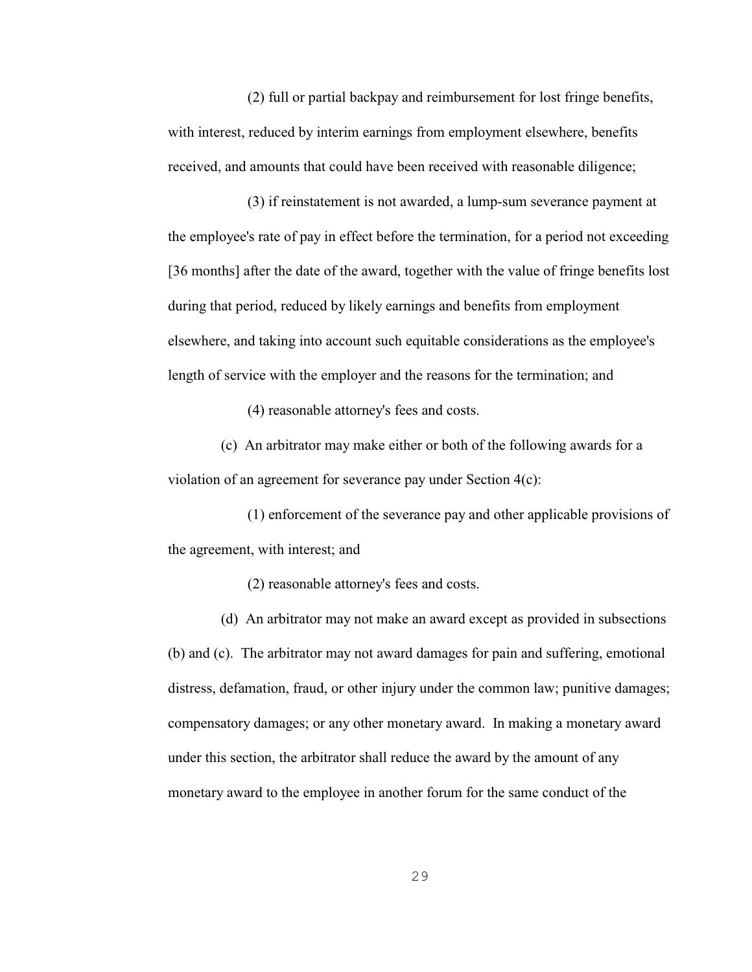(2) full or partial backpay and reimbursement for lost fringe benefits, with interest, reduced by interim earnings from employment elsewhere, benefits received, and amounts that could have been received with reasonable diligence;

(3) if reinstatement is not awarded, a lump-sum severance payment at the employee's rate of pay in effect before the termination, for a period not exceeding [36 months] after the date of the award, together with the value of fringe benefits lost during that period, reduced by likely earnings and benefits from employment elsewhere, and taking into account such equitable considerations as the employee's length of service with the employer and the reasons for the termination; and

(4) reasonable attorney's fees and costs.

(c) An arbitrator may make either or both of the following awards for a violation of an agreement for severance pay under Section 4(c):

(1) enforcement of the severance pay and other applicable provisions of the agreement, with interest; and

(2) reasonable attorney's fees and costs.

(d) An arbitrator may not make an award except as provided in subsections (b) and (c). The arbitrator may not award damages for pain and suffering, emotional distress, defamation, fraud, or other injury under the common law; punitive damages; compensatory damages; or any other monetary award. In making a monetary award under this section, the arbitrator shall reduce the award by the amount of any monetary award to the employee in another forum for the same conduct of the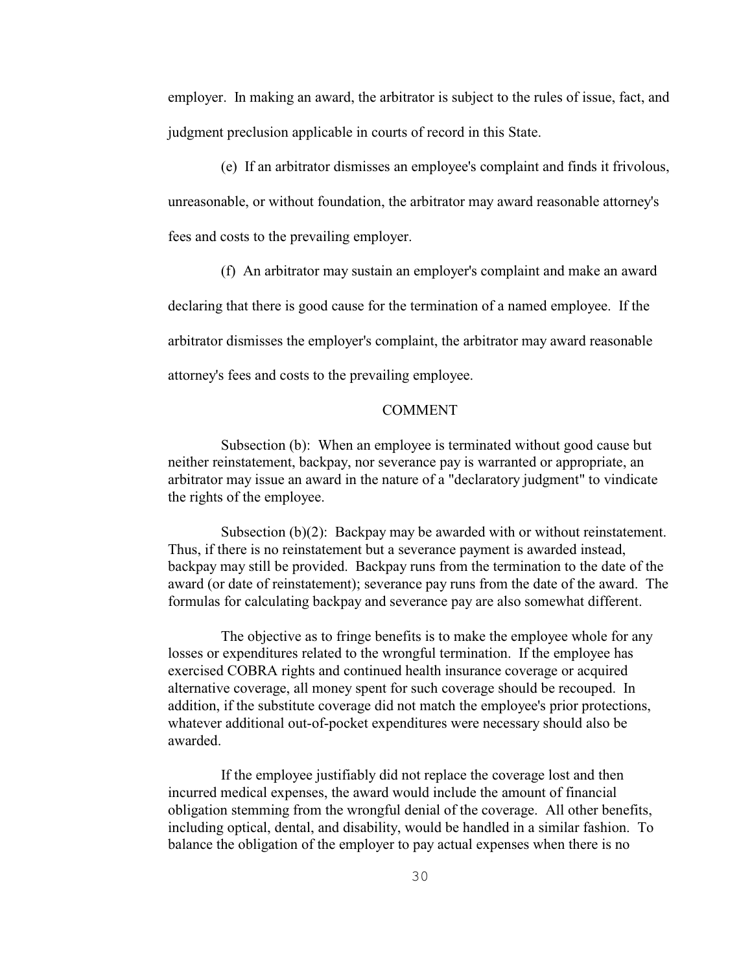employer. In making an award, the arbitrator is subject to the rules of issue, fact, and judgment preclusion applicable in courts of record in this State.

(e) If an arbitrator dismisses an employee's complaint and finds it frivolous, unreasonable, or without foundation, the arbitrator may award reasonable attorney's fees and costs to the prevailing employer.

(f) An arbitrator may sustain an employer's complaint and make an award

declaring that there is good cause for the termination of a named employee. If the arbitrator dismisses the employer's complaint, the arbitrator may award reasonable attorney's fees and costs to the prevailing employee.

#### COMMENT

Subsection (b): When an employee is terminated without good cause but neither reinstatement, backpay, nor severance pay is warranted or appropriate, an arbitrator may issue an award in the nature of a "declaratory judgment" to vindicate the rights of the employee.

Subsection (b)(2): Backpay may be awarded with or without reinstatement. Thus, if there is no reinstatement but a severance payment is awarded instead, backpay may still be provided. Backpay runs from the termination to the date of the award (or date of reinstatement); severance pay runs from the date of the award. The formulas for calculating backpay and severance pay are also somewhat different.

The objective as to fringe benefits is to make the employee whole for any losses or expenditures related to the wrongful termination. If the employee has exercised COBRA rights and continued health insurance coverage or acquired alternative coverage, all money spent for such coverage should be recouped. In addition, if the substitute coverage did not match the employee's prior protections, whatever additional out-of-pocket expenditures were necessary should also be awarded.

If the employee justifiably did not replace the coverage lost and then incurred medical expenses, the award would include the amount of financial obligation stemming from the wrongful denial of the coverage. All other benefits, including optical, dental, and disability, would be handled in a similar fashion. To balance the obligation of the employer to pay actual expenses when there is no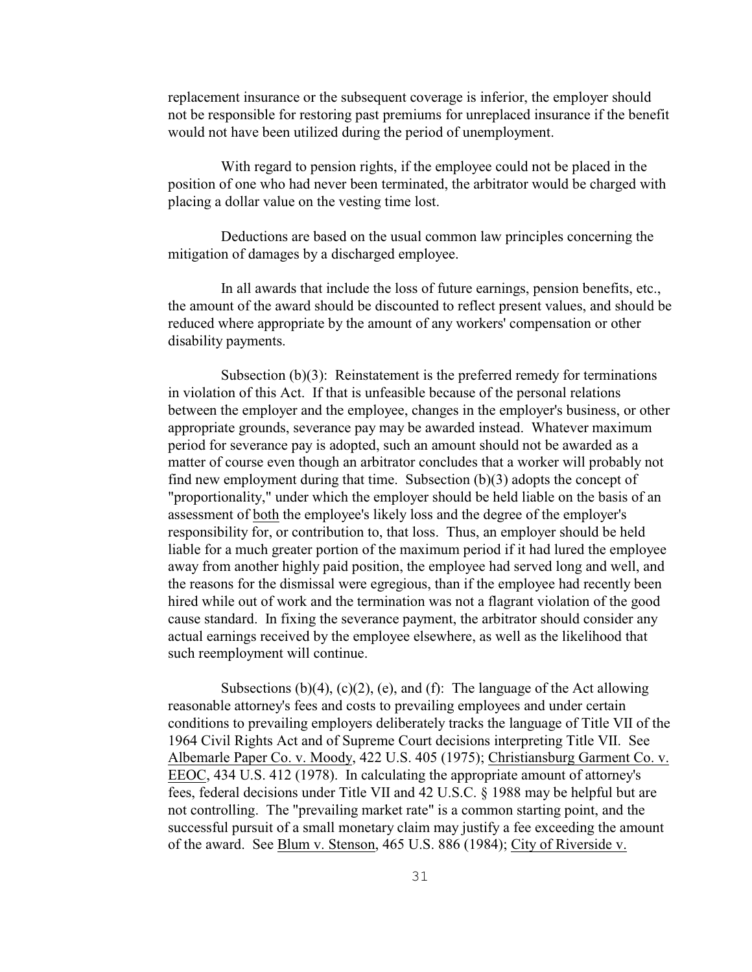replacement insurance or the subsequent coverage is inferior, the employer should not be responsible for restoring past premiums for unreplaced insurance if the benefit would not have been utilized during the period of unemployment.

With regard to pension rights, if the employee could not be placed in the position of one who had never been terminated, the arbitrator would be charged with placing a dollar value on the vesting time lost.

Deductions are based on the usual common law principles concerning the mitigation of damages by a discharged employee.

In all awards that include the loss of future earnings, pension benefits, etc., the amount of the award should be discounted to reflect present values, and should be reduced where appropriate by the amount of any workers' compensation or other disability payments.

Subsection (b)(3): Reinstatement is the preferred remedy for terminations in violation of this Act. If that is unfeasible because of the personal relations between the employer and the employee, changes in the employer's business, or other appropriate grounds, severance pay may be awarded instead. Whatever maximum period for severance pay is adopted, such an amount should not be awarded as a matter of course even though an arbitrator concludes that a worker will probably not find new employment during that time. Subsection (b)(3) adopts the concept of "proportionality," under which the employer should be held liable on the basis of an assessment of both the employee's likely loss and the degree of the employer's responsibility for, or contribution to, that loss. Thus, an employer should be held liable for a much greater portion of the maximum period if it had lured the employee away from another highly paid position, the employee had served long and well, and the reasons for the dismissal were egregious, than if the employee had recently been hired while out of work and the termination was not a flagrant violation of the good cause standard. In fixing the severance payment, the arbitrator should consider any actual earnings received by the employee elsewhere, as well as the likelihood that such reemployment will continue.

Subsections  $(b)(4)$ ,  $(c)(2)$ ,  $(e)$ , and  $(f)$ : The language of the Act allowing reasonable attorney's fees and costs to prevailing employees and under certain conditions to prevailing employers deliberately tracks the language of Title VII of the 1964 Civil Rights Act and of Supreme Court decisions interpreting Title VII. See Albemarle Paper Co. v. Moody, 422 U.S. 405 (1975); Christiansburg Garment Co. v. EEOC, 434 U.S. 412 (1978). In calculating the appropriate amount of attorney's fees, federal decisions under Title VII and 42 U.S.C. § 1988 may be helpful but are not controlling. The "prevailing market rate" is a common starting point, and the successful pursuit of a small monetary claim may justify a fee exceeding the amount of the award. See Blum v. Stenson, 465 U.S. 886 (1984); City of Riverside v.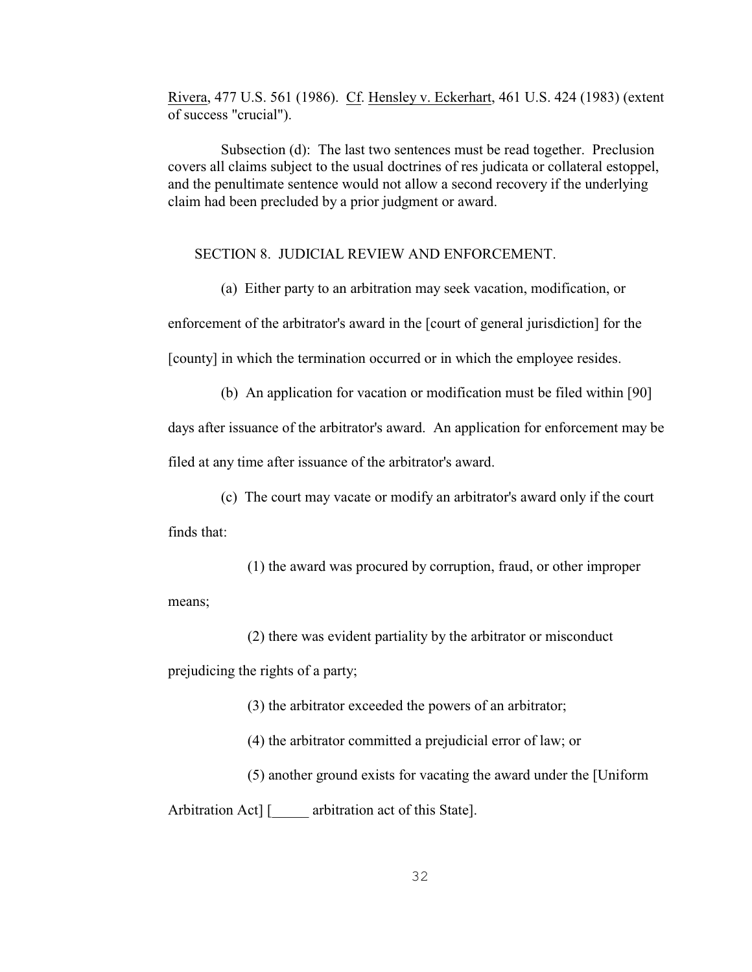Rivera, 477 U.S. 561 (1986). Cf. Hensley v. Eckerhart, 461 U.S. 424 (1983) (extent of success "crucial").

Subsection (d): The last two sentences must be read together. Preclusion covers all claims subject to the usual doctrines of res judicata or collateral estoppel, and the penultimate sentence would not allow a second recovery if the underlying claim had been precluded by a prior judgment or award.

#### SECTION 8. JUDICIAL REVIEW AND ENFORCEMENT.

(a) Either party to an arbitration may seek vacation, modification, or enforcement of the arbitrator's award in the [court of general jurisdiction] for the [county] in which the termination occurred or in which the employee resides.

(b) An application for vacation or modification must be filed within [90] days after issuance of the arbitrator's award. An application for enforcement may be filed at any time after issuance of the arbitrator's award.

(c) The court may vacate or modify an arbitrator's award only if the court finds that:

(1) the award was procured by corruption, fraud, or other improper means;

(2) there was evident partiality by the arbitrator or misconduct prejudicing the rights of a party;

(3) the arbitrator exceeded the powers of an arbitrator;

(4) the arbitrator committed a prejudicial error of law; or

(5) another ground exists for vacating the award under the [Uniform Arbitration Act] [\_\_\_\_\_\_ arbitration act of this State].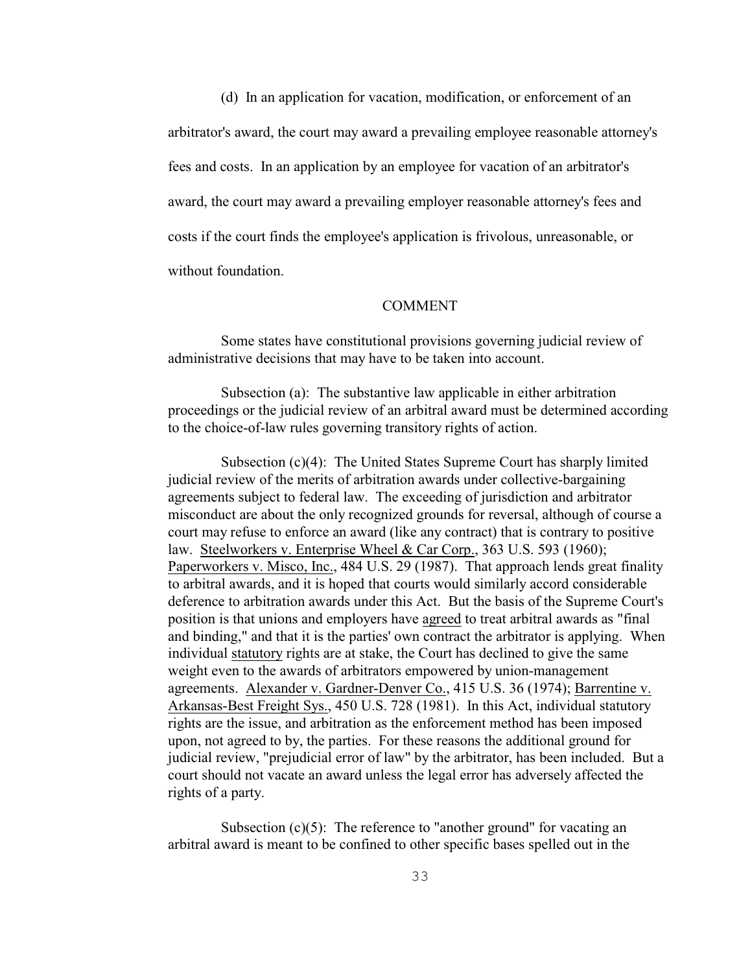(d) In an application for vacation, modification, or enforcement of an

arbitrator's award, the court may award a prevailing employee reasonable attorney's

fees and costs. In an application by an employee for vacation of an arbitrator's

award, the court may award a prevailing employer reasonable attorney's fees and

costs if the court finds the employee's application is frivolous, unreasonable, or

without foundation.

#### COMMENT

Some states have constitutional provisions governing judicial review of administrative decisions that may have to be taken into account.

Subsection (a): The substantive law applicable in either arbitration proceedings or the judicial review of an arbitral award must be determined according to the choice-of-law rules governing transitory rights of action.

Subsection (c)(4): The United States Supreme Court has sharply limited judicial review of the merits of arbitration awards under collective-bargaining agreements subject to federal law. The exceeding of jurisdiction and arbitrator misconduct are about the only recognized grounds for reversal, although of course a court may refuse to enforce an award (like any contract) that is contrary to positive law. Steelworkers v. Enterprise Wheel & Car Corp., 363 U.S. 593 (1960); Paperworkers v. Misco, Inc., 484 U.S. 29 (1987). That approach lends great finality to arbitral awards, and it is hoped that courts would similarly accord considerable deference to arbitration awards under this Act. But the basis of the Supreme Court's position is that unions and employers have agreed to treat arbitral awards as "final and binding," and that it is the parties' own contract the arbitrator is applying. When individual statutory rights are at stake, the Court has declined to give the same weight even to the awards of arbitrators empowered by union-management agreements. Alexander v. Gardner-Denver Co., 415 U.S. 36 (1974); Barrentine v. Arkansas-Best Freight Sys., 450 U.S. 728 (1981). In this Act, individual statutory rights are the issue, and arbitration as the enforcement method has been imposed upon, not agreed to by, the parties. For these reasons the additional ground for judicial review, "prejudicial error of law" by the arbitrator, has been included. But a court should not vacate an award unless the legal error has adversely affected the rights of a party.

Subsection  $(c)(5)$ : The reference to "another ground" for vacating an arbitral award is meant to be confined to other specific bases spelled out in the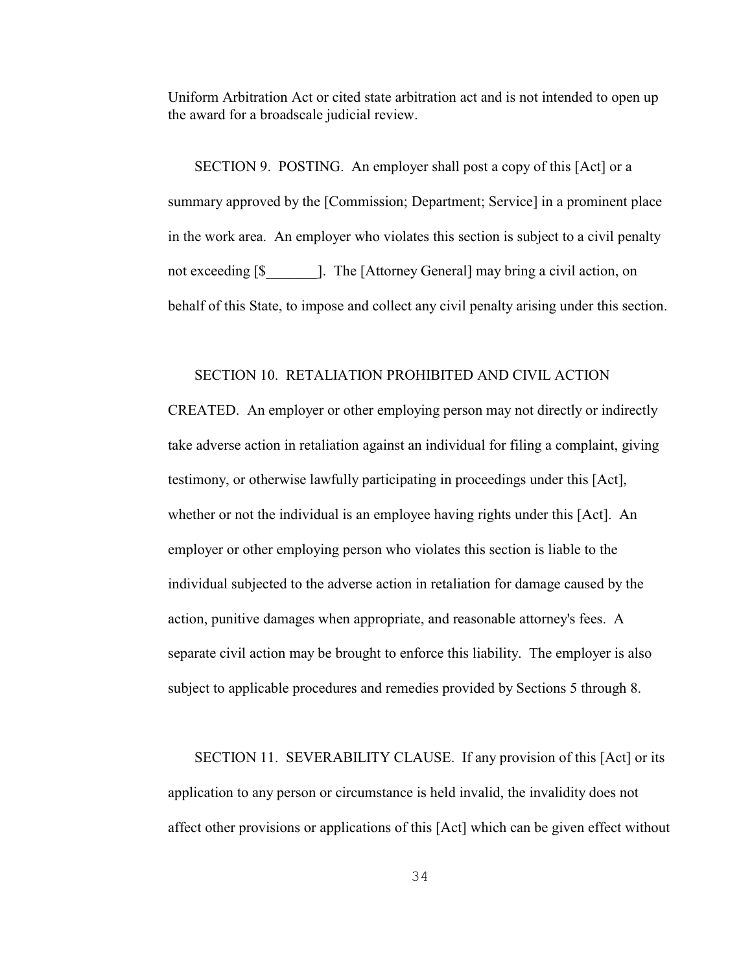Uniform Arbitration Act or cited state arbitration act and is not intended to open up the award for a broadscale judicial review.

SECTION 9. POSTING. An employer shall post a copy of this [Act] or a summary approved by the [Commission; Department; Service] in a prominent place in the work area. An employer who violates this section is subject to a civil penalty not exceeding [\$ The [Attorney General] may bring a civil action, on behalf of this State, to impose and collect any civil penalty arising under this section.

#### SECTION 10. RETALIATION PROHIBITED AND CIVIL ACTION

CREATED. An employer or other employing person may not directly or indirectly take adverse action in retaliation against an individual for filing a complaint, giving testimony, or otherwise lawfully participating in proceedings under this [Act], whether or not the individual is an employee having rights under this [Act]. An employer or other employing person who violates this section is liable to the individual subjected to the adverse action in retaliation for damage caused by the action, punitive damages when appropriate, and reasonable attorney's fees. A separate civil action may be brought to enforce this liability. The employer is also subject to applicable procedures and remedies provided by Sections 5 through 8.

SECTION 11. SEVERABILITY CLAUSE. If any provision of this [Act] or its application to any person or circumstance is held invalid, the invalidity does not affect other provisions or applications of this [Act] which can be given effect without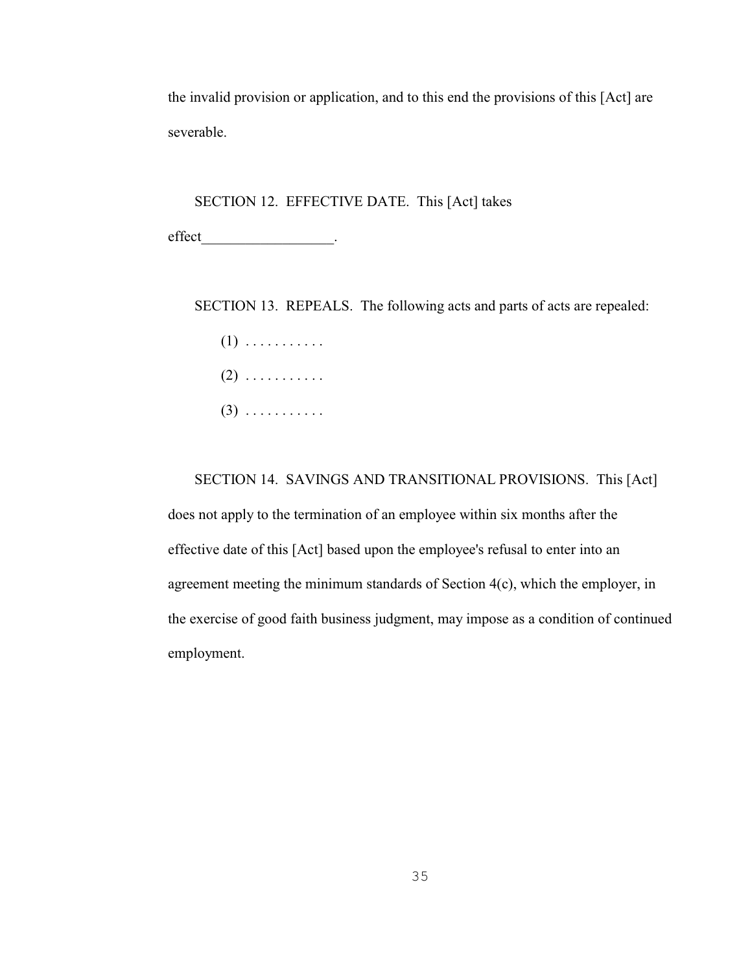the invalid provision or application, and to this end the provisions of this [Act] are severable.

SECTION 12. EFFECTIVE DATE. This [Act] takes

effect\_\_\_\_\_\_\_\_\_\_\_\_\_\_\_\_\_\_.

SECTION 13. REPEALS. The following acts and parts of acts are repealed:

 $(1)$  . . . . . . . . . . .

- $(2)$  . . . . . . . . . . .
- $(3)$  . . . . . . . . . . .

SECTION 14. SAVINGS AND TRANSITIONAL PROVISIONS. This [Act]

does not apply to the termination of an employee within six months after the effective date of this [Act] based upon the employee's refusal to enter into an agreement meeting the minimum standards of Section 4(c), which the employer, in the exercise of good faith business judgment, may impose as a condition of continued employment.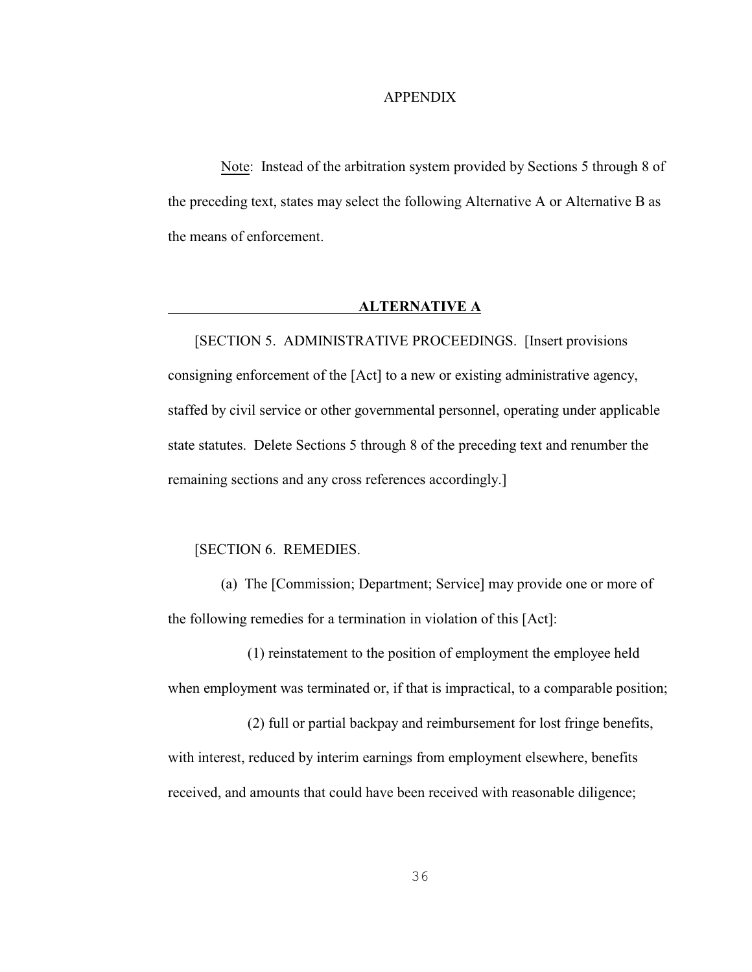#### APPENDIX

Note: Instead of the arbitration system provided by Sections 5 through 8 of the preceding text, states may select the following Alternative A or Alternative B as the means of enforcement.

## **ALTERNATIVE A**

[SECTION 5. ADMINISTRATIVE PROCEEDINGS. [Insert provisions consigning enforcement of the [Act] to a new or existing administrative agency, staffed by civil service or other governmental personnel, operating under applicable state statutes. Delete Sections 5 through 8 of the preceding text and renumber the remaining sections and any cross references accordingly.]

# [SECTION 6. REMEDIES.

(a) The [Commission; Department; Service] may provide one or more of the following remedies for a termination in violation of this [Act]:

(1) reinstatement to the position of employment the employee held when employment was terminated or, if that is impractical, to a comparable position;

(2) full or partial backpay and reimbursement for lost fringe benefits, with interest, reduced by interim earnings from employment elsewhere, benefits received, and amounts that could have been received with reasonable diligence;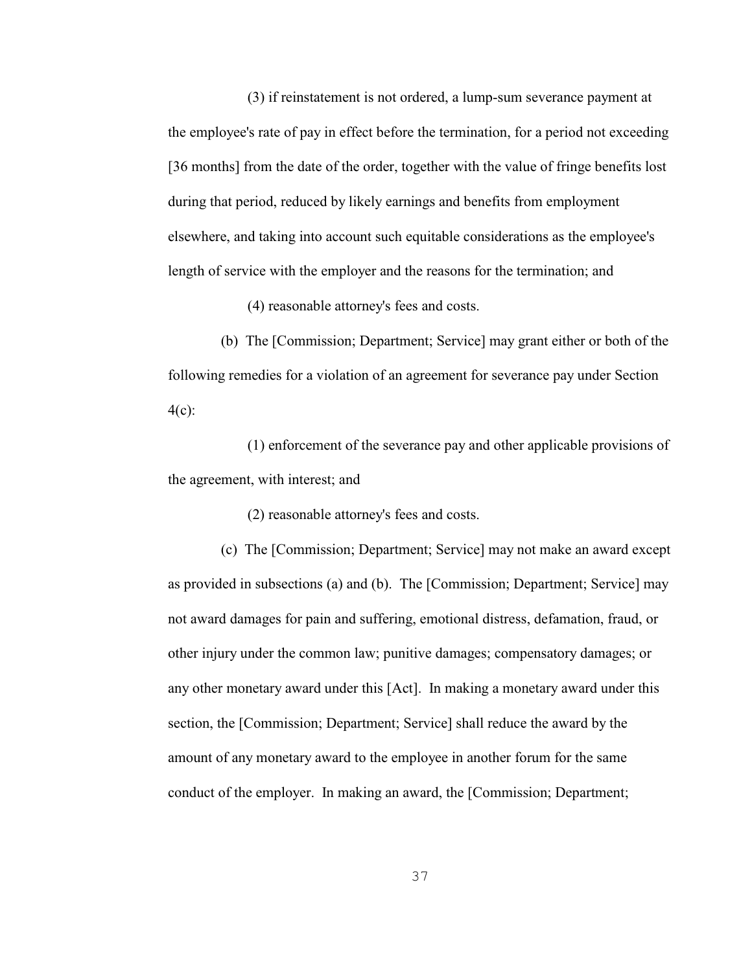(3) if reinstatement is not ordered, a lump-sum severance payment at the employee's rate of pay in effect before the termination, for a period not exceeding [36 months] from the date of the order, together with the value of fringe benefits lost during that period, reduced by likely earnings and benefits from employment elsewhere, and taking into account such equitable considerations as the employee's length of service with the employer and the reasons for the termination; and

(4) reasonable attorney's fees and costs.

(b) The [Commission; Department; Service] may grant either or both of the following remedies for a violation of an agreement for severance pay under Section 4(c):

(1) enforcement of the severance pay and other applicable provisions of the agreement, with interest; and

(2) reasonable attorney's fees and costs.

(c) The [Commission; Department; Service] may not make an award except as provided in subsections (a) and (b). The [Commission; Department; Service] may not award damages for pain and suffering, emotional distress, defamation, fraud, or other injury under the common law; punitive damages; compensatory damages; or any other monetary award under this [Act]. In making a monetary award under this section, the [Commission; Department; Service] shall reduce the award by the amount of any monetary award to the employee in another forum for the same conduct of the employer. In making an award, the [Commission; Department;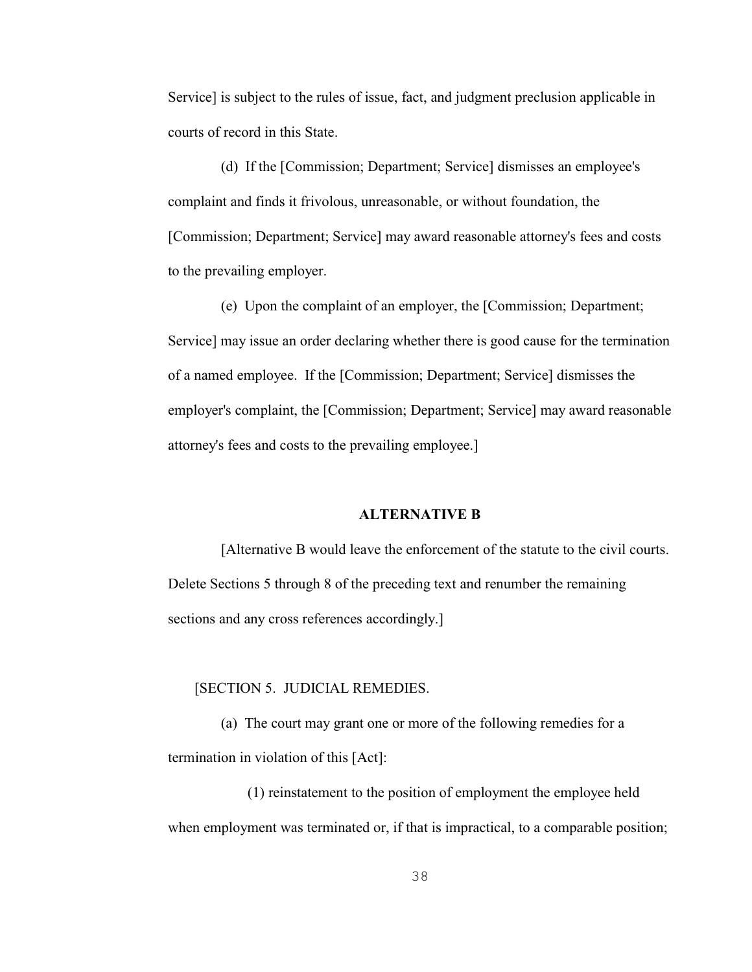Service] is subject to the rules of issue, fact, and judgment preclusion applicable in courts of record in this State.

(d) If the [Commission; Department; Service] dismisses an employee's complaint and finds it frivolous, unreasonable, or without foundation, the [Commission; Department; Service] may award reasonable attorney's fees and costs to the prevailing employer.

(e) Upon the complaint of an employer, the [Commission; Department; Service] may issue an order declaring whether there is good cause for the termination of a named employee. If the [Commission; Department; Service] dismisses the employer's complaint, the [Commission; Department; Service] may award reasonable attorney's fees and costs to the prevailing employee.]

# **ALTERNATIVE B**

[Alternative B would leave the enforcement of the statute to the civil courts. Delete Sections 5 through 8 of the preceding text and renumber the remaining sections and any cross references accordingly.]

## [SECTION 5. JUDICIAL REMEDIES.

(a) The court may grant one or more of the following remedies for a termination in violation of this [Act]:

(1) reinstatement to the position of employment the employee held when employment was terminated or, if that is impractical, to a comparable position;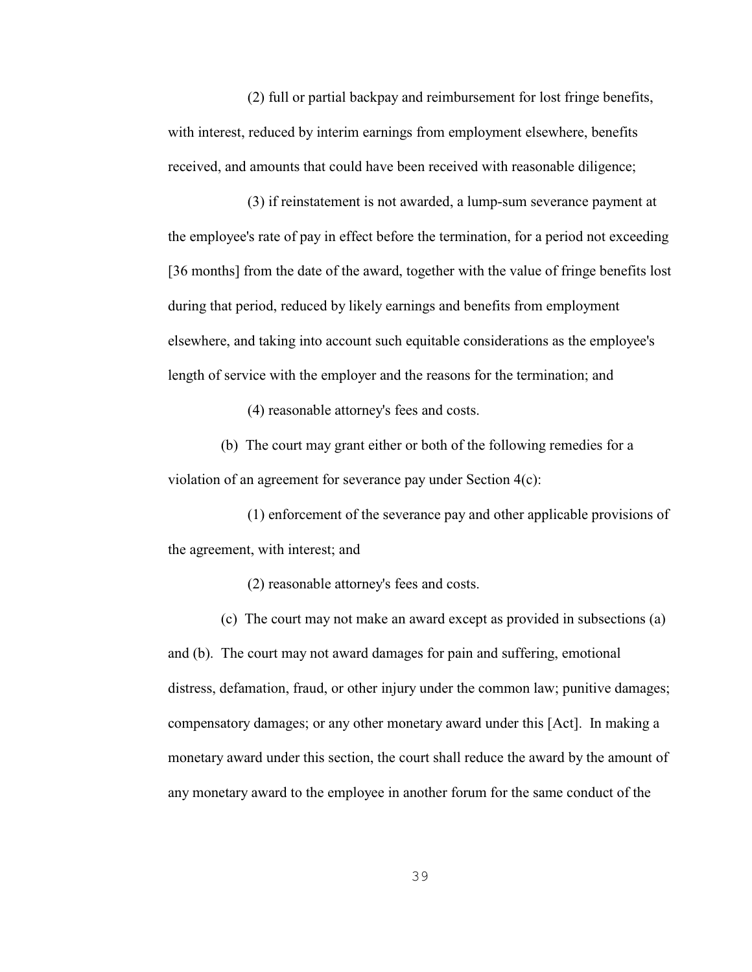(2) full or partial backpay and reimbursement for lost fringe benefits, with interest, reduced by interim earnings from employment elsewhere, benefits received, and amounts that could have been received with reasonable diligence;

(3) if reinstatement is not awarded, a lump-sum severance payment at the employee's rate of pay in effect before the termination, for a period not exceeding [36 months] from the date of the award, together with the value of fringe benefits lost during that period, reduced by likely earnings and benefits from employment elsewhere, and taking into account such equitable considerations as the employee's length of service with the employer and the reasons for the termination; and

(4) reasonable attorney's fees and costs.

(b) The court may grant either or both of the following remedies for a violation of an agreement for severance pay under Section 4(c):

(1) enforcement of the severance pay and other applicable provisions of the agreement, with interest; and

(2) reasonable attorney's fees and costs.

(c) The court may not make an award except as provided in subsections (a) and (b). The court may not award damages for pain and suffering, emotional distress, defamation, fraud, or other injury under the common law; punitive damages; compensatory damages; or any other monetary award under this [Act]. In making a monetary award under this section, the court shall reduce the award by the amount of any monetary award to the employee in another forum for the same conduct of the